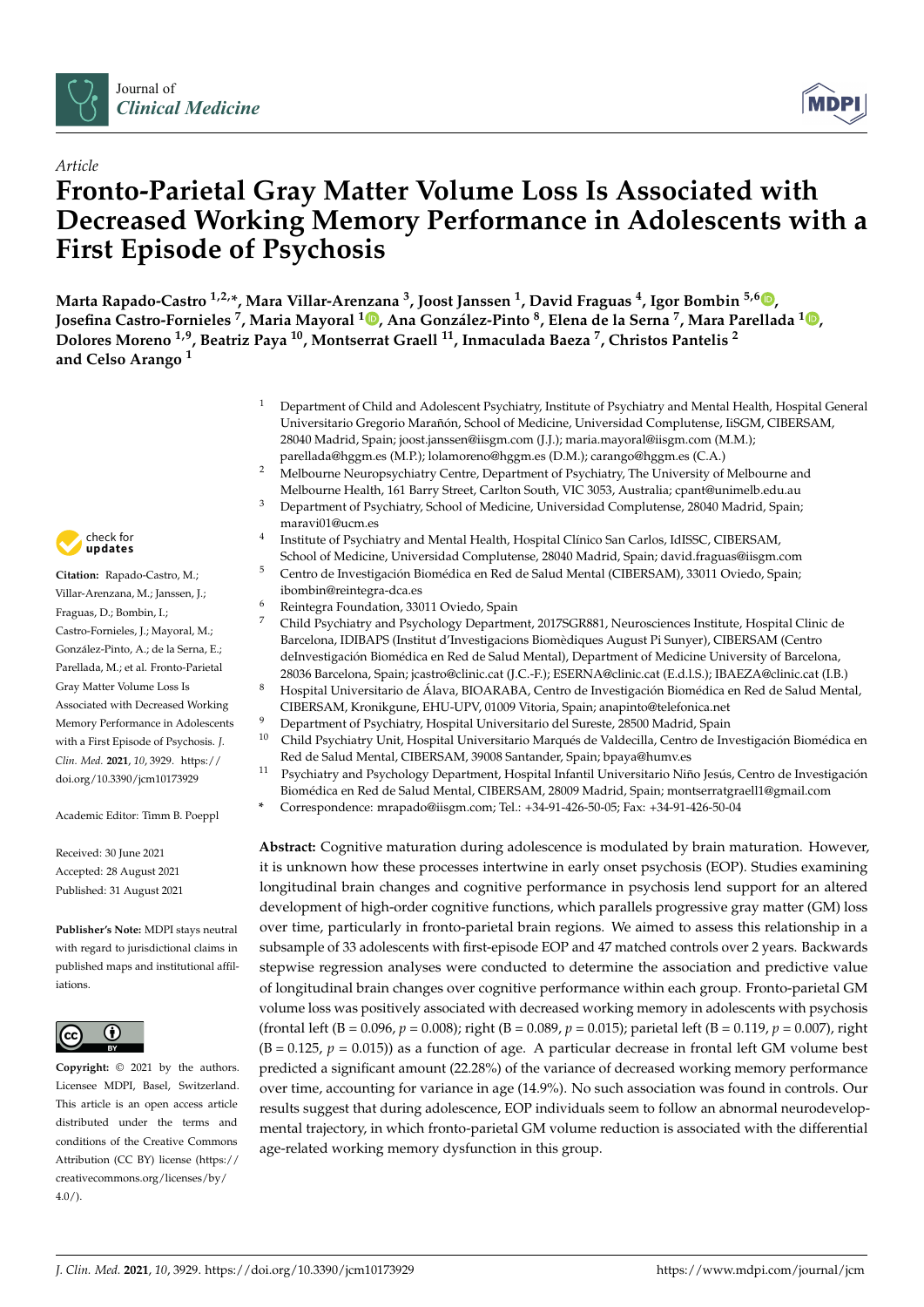



# *Article* **Fronto-Parietal Gray Matter Volume Loss Is Associated with Decreased Working Memory Performance in Adolescents with a First Episode of Psychosis**

**Marta Rapado-Castro 1,2,\*, Mara Villar-Arenzana <sup>3</sup> , Joost Janssen <sup>1</sup> , David Fraguas <sup>4</sup> , Igor Bombin 5,6 [,](https://orcid.org/0000-0002-9496-2942) Josefina Castro-Fornieles <sup>7</sup> , Maria Mayoral [1](https://orcid.org/0000-0001-9272-5065) , Ana González-Pinto <sup>8</sup> , Elena de la Serna <sup>7</sup> , Mara Parellada <sup>1</sup> [,](https://orcid.org/0000-0001-7977-3601) Dolores Moreno 1,9, Beatriz Paya <sup>10</sup>, Montserrat Graell <sup>11</sup>, Inmaculada Baeza <sup>7</sup> , Christos Pantelis <sup>2</sup> and Celso Arango <sup>1</sup>**

- <sup>1</sup> Department of Child and Adolescent Psychiatry, Institute of Psychiatry and Mental Health, Hospital General Universitario Gregorio Marañón, School of Medicine, Universidad Complutense, IiSGM, CIBERSAM, 28040 Madrid, Spain; joost.janssen@iisgm.com (J.J.); maria.mayoral@iisgm.com (M.M.); parellada@hggm.es (M.P.); lolamoreno@hggm.es (D.M.); carango@hggm.es (C.A.)
- <sup>2</sup> Melbourne Neuropsychiatry Centre, Department of Psychiatry, The University of Melbourne and Melbourne Health, 161 Barry Street, Carlton South, VIC 3053, Australia; cpant@unimelb.edu.au
- <sup>3</sup> Department of Psychiatry, School of Medicine, Universidad Complutense, 28040 Madrid, Spain; maravi01@ucm.es
- 4 Institute of Psychiatry and Mental Health, Hospital Clínico San Carlos, IdISSC, CIBERSAM, School of Medicine, Universidad Complutense, 28040 Madrid, Spain; david.fraguas@iisgm.com
- <sup>5</sup> Centro de Investigación Biomédica en Red de Salud Mental (CIBERSAM), 33011 Oviedo, Spain; ibombin@reintegra-dca.es
- <sup>6</sup> Reintegra Foundation, 33011 Oviedo, Spain  $\frac{7}{7}$  Child Bayshistm and Bayshalogy Department
- <sup>7</sup> Child Psychiatry and Psychology Department, 2017SGR881, Neurosciences Institute, Hospital Clinic de Barcelona, IDIBAPS (Institut d'Investigacions Biomèdiques August Pi Sunyer), CIBERSAM (Centro deInvestigación Biomédica en Red de Salud Mental), Department of Medicine University of Barcelona, 28036 Barcelona, Spain; jcastro@clinic.cat (J.C.-F.); ESERNA@clinic.cat (E.d.l.S.); IBAEZA@clinic.cat (I.B.)
- <sup>8</sup> Hospital Universitario de Álava, BIOARABA, Centro de Investigación Biomédica en Red de Salud Mental, CIBERSAM, Kronikgune, EHU-UPV, 01009 Vitoria, Spain; anapinto@telefonica.net
- Department of Psychiatry, Hospital Universitario del Sureste, 28500 Madrid, Spain
- <sup>10</sup> Child Psychiatry Unit, Hospital Universitario Marqués de Valdecilla, Centro de Investigación Biomédica en Red de Salud Mental, CIBERSAM, 39008 Santander, Spain; bpaya@humv.es
- <sup>11</sup> Psychiatry and Psychology Department, Hospital Infantil Universitario Niño Jesús, Centro de Investigación Biomédica en Red de Salud Mental, CIBERSAM, 28009 Madrid, Spain; montserratgraell1@gmail.com
- **\*** Correspondence: mrapado@iisgm.com; Tel.: +34-91-426-50-05; Fax: +34-91-426-50-04

**Abstract:** Cognitive maturation during adolescence is modulated by brain maturation. However, it is unknown how these processes intertwine in early onset psychosis (EOP). Studies examining longitudinal brain changes and cognitive performance in psychosis lend support for an altered development of high-order cognitive functions, which parallels progressive gray matter (GM) loss over time, particularly in fronto-parietal brain regions. We aimed to assess this relationship in a subsample of 33 adolescents with first-episode EOP and 47 matched controls over 2 years. Backwards stepwise regression analyses were conducted to determine the association and predictive value of longitudinal brain changes over cognitive performance within each group. Fronto-parietal GM volume loss was positively associated with decreased working memory in adolescents with psychosis (frontal left (B = 0.096,  $p = 0.008$ ); right (B = 0.089,  $p = 0.015$ ); parietal left (B = 0.119,  $p = 0.007$ ), right  $(B = 0.125, p = 0.015)$  as a function of age. A particular decrease in frontal left GM volume best predicted a significant amount (22.28%) of the variance of decreased working memory performance over time, accounting for variance in age (14.9%). No such association was found in controls. Our results suggest that during adolescence, EOP individuals seem to follow an abnormal neurodevelopmental trajectory, in which fronto-parietal GM volume reduction is associated with the differential age-related working memory dysfunction in this group.



**Citation:** Rapado-Castro, M.; Villar-Arenzana, M.; Janssen, J.; Fraguas, D.; Bombin, I.; Castro-Fornieles, J.; Mayoral, M.; González-Pinto, A.; de la Serna, E.; Parellada, M.; et al. Fronto-Parietal Gray Matter Volume Loss Is Associated with Decreased Working Memory Performance in Adolescents with a First Episode of Psychosis. *J. Clin. Med.* **2021**, *10*, 3929. [https://](https://doi.org/10.3390/jcm10173929) [doi.org/10.3390/jcm10173929](https://doi.org/10.3390/jcm10173929)

Academic Editor: Timm B. Poeppl

Received: 30 June 2021 Accepted: 28 August 2021 Published: 31 August 2021

**Publisher's Note:** MDPI stays neutral with regard to jurisdictional claims in published maps and institutional affiliations.



**Copyright:** © 2021 by the authors. Licensee MDPI, Basel, Switzerland. This article is an open access article distributed under the terms and conditions of the Creative Commons Attribution (CC BY) license (https:/[/](https://creativecommons.org/licenses/by/4.0/) [creativecommons.org/licenses/by/](https://creativecommons.org/licenses/by/4.0/)  $4.0/$ ).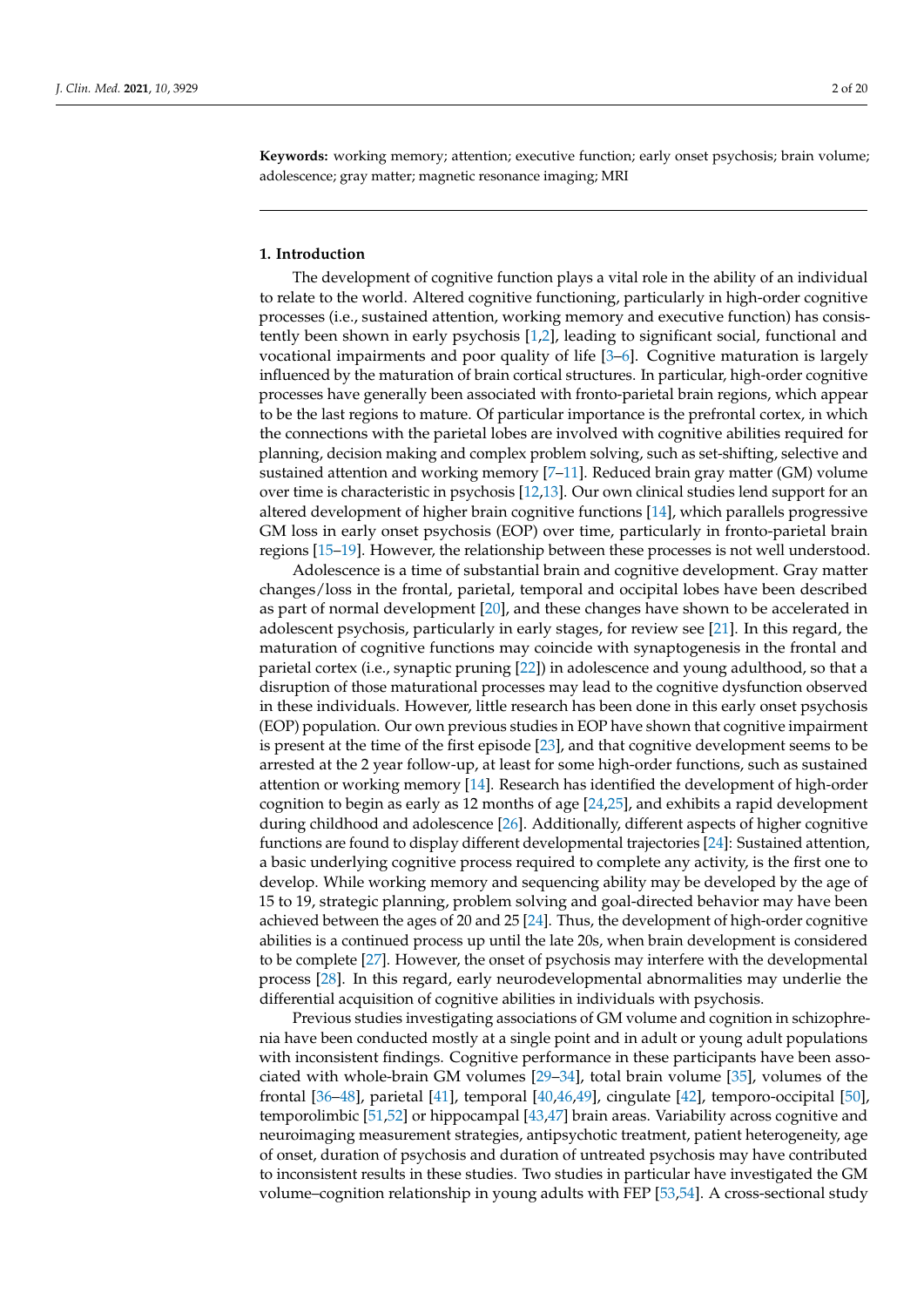**Keywords:** working memory; attention; executive function; early onset psychosis; brain volume; adolescence; gray matter; magnetic resonance imaging; MRI

# **1. Introduction**

The development of cognitive function plays a vital role in the ability of an individual to relate to the world. Altered cognitive functioning, particularly in high-order cognitive processes (i.e., sustained attention, working memory and executive function) has consistently been shown in early psychosis [\[1](#page-14-0)[,2\]](#page-14-1), leading to significant social, functional and vocational impairments and poor quality of life [\[3–](#page-15-0)[6\]](#page-15-1). Cognitive maturation is largely influenced by the maturation of brain cortical structures. In particular, high-order cognitive processes have generally been associated with fronto-parietal brain regions, which appear to be the last regions to mature. Of particular importance is the prefrontal cortex, in which the connections with the parietal lobes are involved with cognitive abilities required for planning, decision making and complex problem solving, such as set-shifting, selective and sustained attention and working memory [\[7](#page-15-2)[–11\]](#page-15-3). Reduced brain gray matter (GM) volume over time is characteristic in psychosis [\[12,](#page-15-4)[13\]](#page-15-5). Our own clinical studies lend support for an altered development of higher brain cognitive functions [\[14\]](#page-15-6), which parallels progressive GM loss in early onset psychosis (EOP) over time, particularly in fronto-parietal brain regions [\[15–](#page-15-7)[19\]](#page-15-8). However, the relationship between these processes is not well understood.

Adolescence is a time of substantial brain and cognitive development. Gray matter changes/loss in the frontal, parietal, temporal and occipital lobes have been described as part of normal development [\[20\]](#page-15-9), and these changes have shown to be accelerated in adolescent psychosis, particularly in early stages, for review see [\[21\]](#page-15-10). In this regard, the maturation of cognitive functions may coincide with synaptogenesis in the frontal and parietal cortex (i.e., synaptic pruning [\[22\]](#page-15-11)) in adolescence and young adulthood, so that a disruption of those maturational processes may lead to the cognitive dysfunction observed in these individuals. However, little research has been done in this early onset psychosis (EOP) population. Our own previous studies in EOP have shown that cognitive impairment is present at the time of the first episode [\[23\]](#page-15-12), and that cognitive development seems to be arrested at the 2 year follow-up, at least for some high-order functions, such as sustained attention or working memory [\[14\]](#page-15-6). Research has identified the development of high-order cognition to begin as early as 12 months of age [\[24](#page-15-13)[,25\]](#page-15-14), and exhibits a rapid development during childhood and adolescence [\[26\]](#page-15-15). Additionally, different aspects of higher cognitive functions are found to display different developmental trajectories [\[24\]](#page-15-13): Sustained attention, a basic underlying cognitive process required to complete any activity, is the first one to develop. While working memory and sequencing ability may be developed by the age of 15 to 19, strategic planning, problem solving and goal-directed behavior may have been achieved between the ages of 20 and 25 [\[24\]](#page-15-13). Thus, the development of high-order cognitive abilities is a continued process up until the late 20s, when brain development is considered to be complete [\[27\]](#page-15-16). However, the onset of psychosis may interfere with the developmental process [\[28\]](#page-16-0). In this regard, early neurodevelopmental abnormalities may underlie the differential acquisition of cognitive abilities in individuals with psychosis.

Previous studies investigating associations of GM volume and cognition in schizophrenia have been conducted mostly at a single point and in adult or young adult populations with inconsistent findings. Cognitive performance in these participants have been associated with whole-brain GM volumes [\[29–](#page-16-1)[34\]](#page-16-2), total brain volume [\[35\]](#page-16-3), volumes of the frontal [\[36](#page-16-4)[–48\]](#page-16-5), parietal [\[41\]](#page-16-6), temporal [\[40](#page-16-7)[,46,](#page-16-8)[49\]](#page-16-9), cingulate [\[42\]](#page-16-10), temporo-occipital [\[50\]](#page-16-11), temporolimbic [\[51](#page-17-0)[,52\]](#page-17-1) or hippocampal [\[43,](#page-16-12)[47\]](#page-16-13) brain areas. Variability across cognitive and neuroimaging measurement strategies, antipsychotic treatment, patient heterogeneity, age of onset, duration of psychosis and duration of untreated psychosis may have contributed to inconsistent results in these studies. Two studies in particular have investigated the GM volume–cognition relationship in young adults with FEP [\[53](#page-17-2)[,54\]](#page-17-3). A cross-sectional study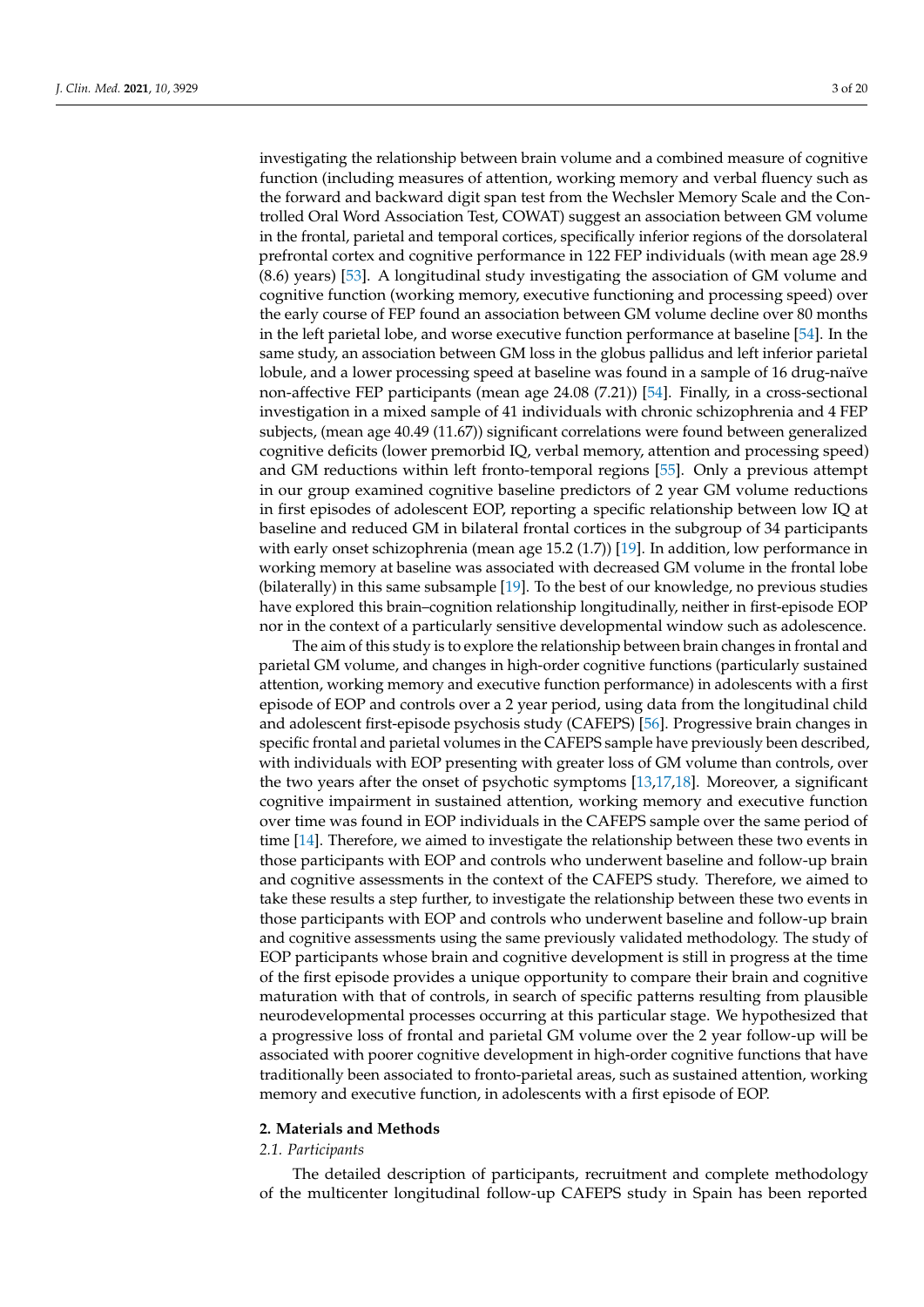investigating the relationship between brain volume and a combined measure of cognitive function (including measures of attention, working memory and verbal fluency such as the forward and backward digit span test from the Wechsler Memory Scale and the Controlled Oral Word Association Test, COWAT) suggest an association between GM volume in the frontal, parietal and temporal cortices, specifically inferior regions of the dorsolateral prefrontal cortex and cognitive performance in 122 FEP individuals (with mean age 28.9 (8.6) years) [\[53\]](#page-17-2). A longitudinal study investigating the association of GM volume and cognitive function (working memory, executive functioning and processing speed) over the early course of FEP found an association between GM volume decline over 80 months in the left parietal lobe, and worse executive function performance at baseline [\[54\]](#page-17-3). In the same study, an association between GM loss in the globus pallidus and left inferior parietal lobule, and a lower processing speed at baseline was found in a sample of 16 drug-naïve non-affective FEP participants (mean age 24.08 (7.21)) [\[54\]](#page-17-3). Finally, in a cross-sectional investigation in a mixed sample of 41 individuals with chronic schizophrenia and 4 FEP subjects, (mean age 40.49 (11.67)) significant correlations were found between generalized cognitive deficits (lower premorbid IQ, verbal memory, attention and processing speed) and GM reductions within left fronto-temporal regions [\[55\]](#page-17-4). Only a previous attempt in our group examined cognitive baseline predictors of 2 year GM volume reductions in first episodes of adolescent EOP, reporting a specific relationship between low IQ at baseline and reduced GM in bilateral frontal cortices in the subgroup of 34 participants with early onset schizophrenia (mean age 15.2 (1.7)) [\[19\]](#page-15-8). In addition, low performance in working memory at baseline was associated with decreased GM volume in the frontal lobe (bilaterally) in this same subsample [\[19\]](#page-15-8). To the best of our knowledge, no previous studies have explored this brain–cognition relationship longitudinally, neither in first-episode EOP nor in the context of a particularly sensitive developmental window such as adolescence.

The aim of this study is to explore the relationship between brain changes in frontal and parietal GM volume, and changes in high-order cognitive functions (particularly sustained attention, working memory and executive function performance) in adolescents with a first episode of EOP and controls over a 2 year period, using data from the longitudinal child and adolescent first-episode psychosis study (CAFEPS) [\[56\]](#page-17-5). Progressive brain changes in specific frontal and parietal volumes in the CAFEPS sample have previously been described, with individuals with EOP presenting with greater loss of GM volume than controls, over the two years after the onset of psychotic symptoms [\[13,](#page-15-5)[17,](#page-15-17)[18\]](#page-15-18). Moreover, a significant cognitive impairment in sustained attention, working memory and executive function over time was found in EOP individuals in the CAFEPS sample over the same period of time [\[14\]](#page-15-6). Therefore, we aimed to investigate the relationship between these two events in those participants with EOP and controls who underwent baseline and follow-up brain and cognitive assessments in the context of the CAFEPS study. Therefore, we aimed to take these results a step further, to investigate the relationship between these two events in those participants with EOP and controls who underwent baseline and follow-up brain and cognitive assessments using the same previously validated methodology. The study of EOP participants whose brain and cognitive development is still in progress at the time of the first episode provides a unique opportunity to compare their brain and cognitive maturation with that of controls, in search of specific patterns resulting from plausible neurodevelopmental processes occurring at this particular stage. We hypothesized that a progressive loss of frontal and parietal GM volume over the 2 year follow-up will be associated with poorer cognitive development in high-order cognitive functions that have traditionally been associated to fronto-parietal areas, such as sustained attention, working memory and executive function, in adolescents with a first episode of EOP.

# <span id="page-2-0"></span>**2. Materials and Methods**

## *2.1. Participants*

The detailed description of participants, recruitment and complete methodology of the multicenter longitudinal follow-up CAFEPS study in Spain has been reported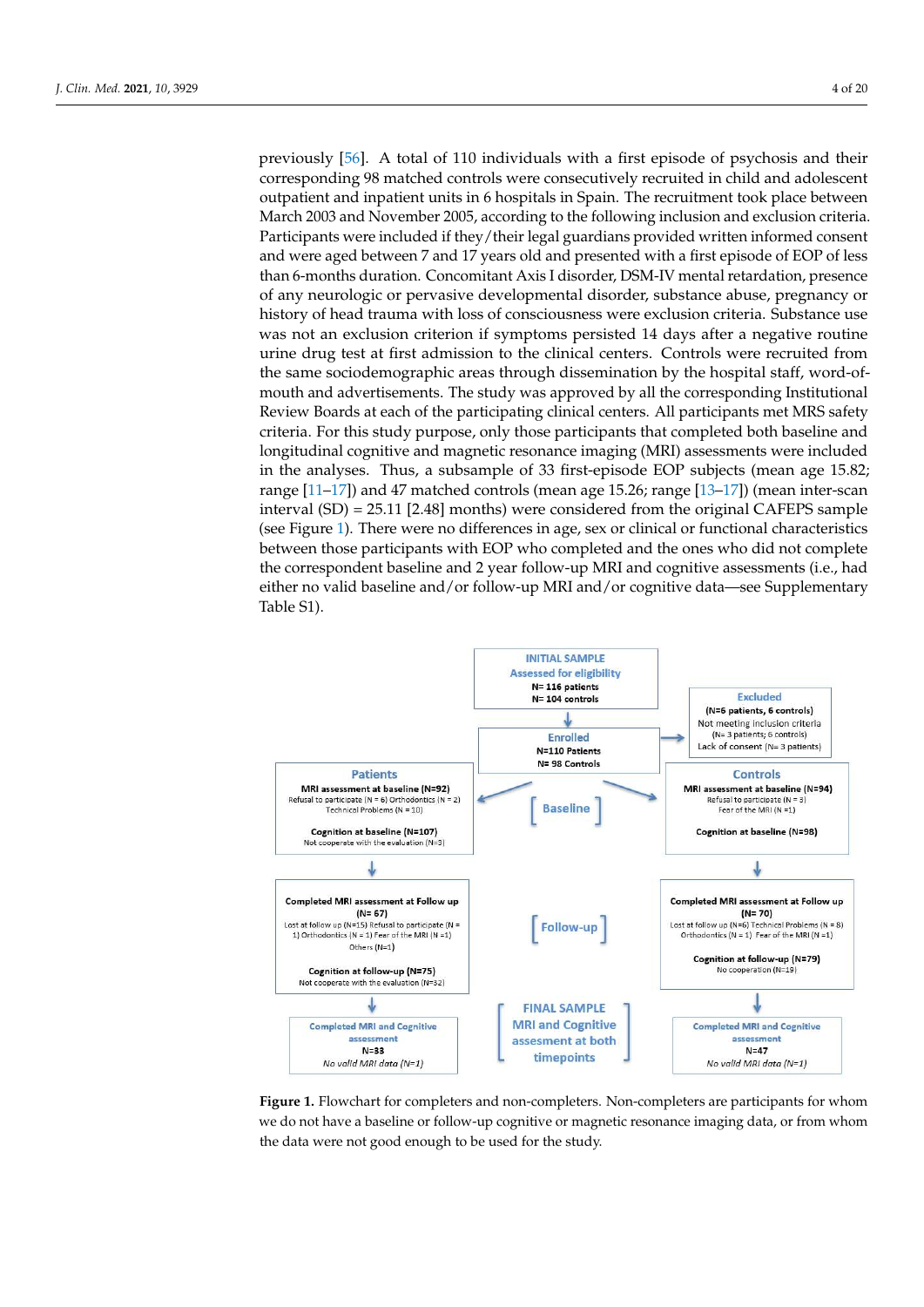2.1. Participants

previously  $[56]$ . A total of 110 individuals with a first episode of psychosis and their corresponding 98 matched controls were consecutively recruited in child and adolescent outpatient and inpatient units in 6 hospitals in Spain. The recruitment took place between patient and inpatient units in 6 hospitals in Spain. The recruitment took place between March 2003 and November 2005, according to the following inclusion and exclusion criteria. Participants were included if they/their legal guardians provided written informed consent and were aged between 7 and 17 years old and presented with a first episode of EOP of less than 6-months duration. Concomitant Axis I disorder, DSM-IV mental retardation, presence of any neurologic or pervasive developmental disorder, substance abuse, pregnancy or history of head trauma with loss of consciousness were exclusion criteria. Substance use was not an exclusion criterion if symptoms persisted 14 days after a negative routine urine drug test at first admission to the clinical centers. Controls were recruited from the same sociodemographic areas through dissemination by the hospital staff, word-ofmouth and advertisements. The study was approved by all the corresponding Institutional Review Boards at each of the participating clinical centers. All participants met MRS safety criteria. For this study purpose, only those participants that completed both baseline and<br>https://www.criteria.org/2002/2003 longitudinal cognitive and magnetic resonance imaging (MRI) assessments were included<br>in the distribution and magnetic resonance imaging (MRI) assessments were included in the analyses. Thus, a subsample of 33 first-episode EOP subjects (mean age 15.82;<br> $\frac{133,473}{2}$ ,  $\frac{147}{2}$ ,  $\frac{1}{2}$ ,  $\frac{1}{2}$ ,  $\frac{1}{2}$ ,  $\frac{1}{2}$ ,  $\frac{1}{2}$ ,  $\frac{1}{2}$ ,  $\frac{1}{2}$ ,  $\frac{1}{2}$ ,  $\frac{1}{2}$ ,  $\frac{1}{2$ range [\[11](#page-15-3)[–17\]](#page-15-17)) and 47 matched controls (mean age 15.26; range [\[13–](#page-15-5)[17\]](#page-15-17)) (mean inter-scan<br>internal (CD) and 47 matched controls (mean age 15.26; range [13–17]) (mean inter-scan interval (SD) = 25.11 [2.48] months) were considered from the original CAFEPS sample  $\frac{1}{2}$  (see Figure [1\)](#page-3-0). There were no differences in age, sex or clinical or functional characteristics between those participants with EOP who completed and the ones who did not complete between those participants with EOP who completed and the ones who did not complete the correspondent baseline and 2 year follow-up MRI and cognitive assessments (i.e., had ones who did baseline and 2 year follow-up MRI and cognitive data—see Supplementary<br>either no valid baseline and/or follow-up MRI and/or cognitive data—see Supplementary Table S1). concerne assessment and the computation of the cognitive and the computation of the computation of the concerned of  $\Gamma$  $\frac{1}{\sqrt{2}}$ 

<span id="page-3-0"></span>

Figure 1. Flowchart for completers and non-completers. Non-completers are participants for whom **Figure 1.** Flowchart for completers and non-completers. Non-completers are participants for whom we do not have a baseline or follow-up cognitive or magnetic resonance imaging data, or from we do not have a baseline or follow-up cognitive or magnetic resonance imaging data, or from whom whom the data were not good enough to be used for the study. the data were not good enough to be used for the study.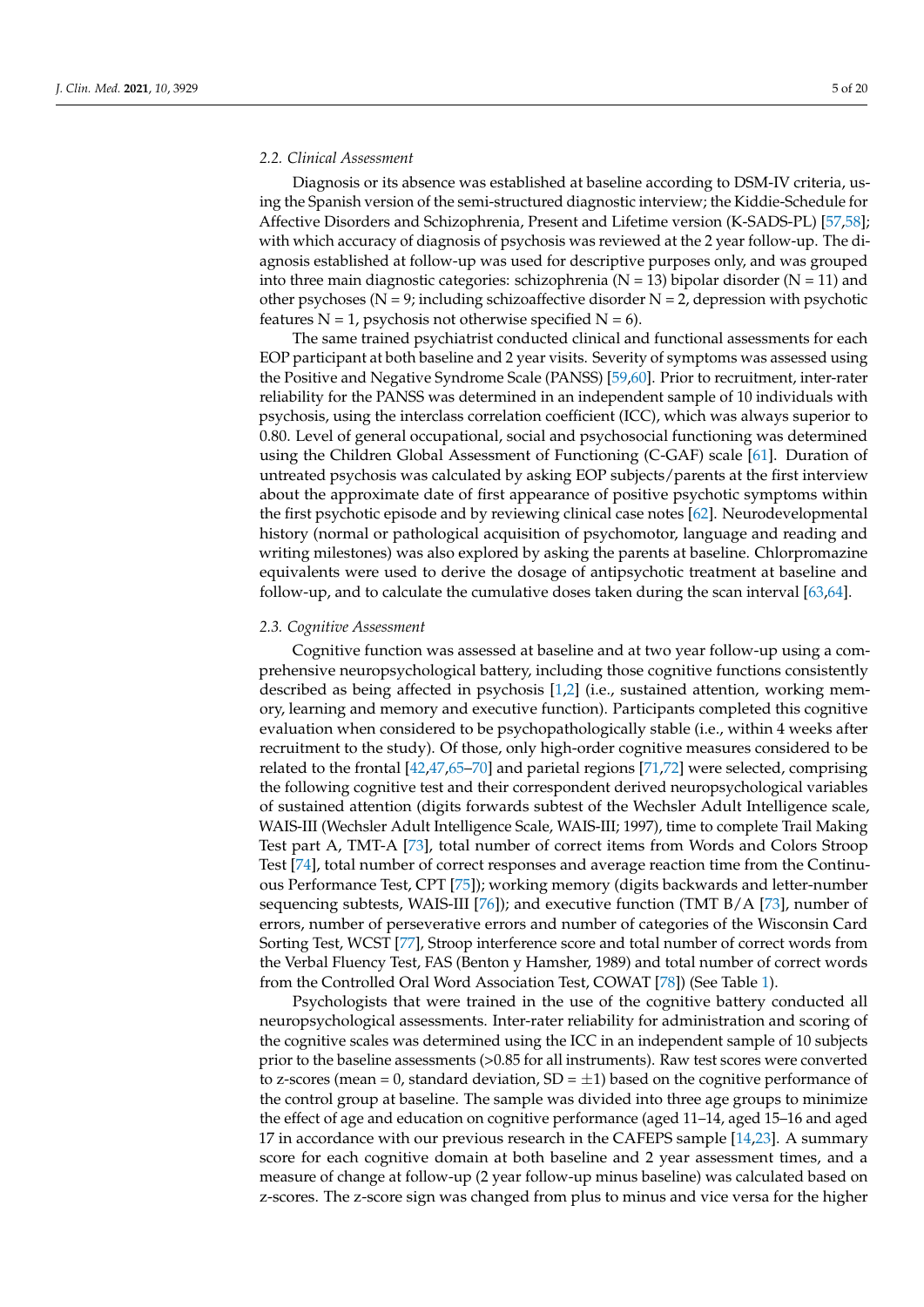# *2.2. Clinical Assessment*

Diagnosis or its absence was established at baseline according to DSM-IV criteria, using the Spanish version of the semi-structured diagnostic interview; the Kiddie-Schedule for Affective Disorders and Schizophrenia, Present and Lifetime version (K-SADS-PL) [\[57](#page-17-6)[,58\]](#page-17-7); with which accuracy of diagnosis of psychosis was reviewed at the 2 year follow-up. The diagnosis established at follow-up was used for descriptive purposes only, and was grouped into three main diagnostic categories: schizophrenia ( $N = 13$ ) bipolar disorder ( $N = 11$ ) and other psychoses ( $N = 9$ ; including schizoaffective disorder  $N = 2$ , depression with psychotic features  $N = 1$ , psychosis not otherwise specified  $N = 6$ ).

The same trained psychiatrist conducted clinical and functional assessments for each EOP participant at both baseline and 2 year visits. Severity of symptoms was assessed using the Positive and Negative Syndrome Scale (PANSS) [\[59](#page-17-8)[,60\]](#page-17-9). Prior to recruitment, inter-rater reliability for the PANSS was determined in an independent sample of 10 individuals with psychosis, using the interclass correlation coefficient (ICC), which was always superior to 0.80. Level of general occupational, social and psychosocial functioning was determined using the Children Global Assessment of Functioning (C-GAF) scale [\[61\]](#page-17-10). Duration of untreated psychosis was calculated by asking EOP subjects/parents at the first interview about the approximate date of first appearance of positive psychotic symptoms within the first psychotic episode and by reviewing clinical case notes [\[62\]](#page-17-11). Neurodevelopmental history (normal or pathological acquisition of psychomotor, language and reading and writing milestones) was also explored by asking the parents at baseline. Chlorpromazine equivalents were used to derive the dosage of antipsychotic treatment at baseline and follow-up, and to calculate the cumulative doses taken during the scan interval [\[63](#page-17-12)[,64\]](#page-17-13).

## *2.3. Cognitive Assessment*

Cognitive function was assessed at baseline and at two year follow-up using a comprehensive neuropsychological battery, including those cognitive functions consistently described as being affected in psychosis [\[1](#page-14-0)[,2\]](#page-14-1) (i.e., sustained attention, working memory, learning and memory and executive function). Participants completed this cognitive evaluation when considered to be psychopathologically stable (i.e., within 4 weeks after recruitment to the study). Of those, only high-order cognitive measures considered to be related to the frontal [\[42,](#page-16-10)[47,](#page-16-13)[65](#page-17-14)[–70\]](#page-17-15) and parietal regions [\[71,](#page-17-16)[72\]](#page-17-17) were selected, comprising the following cognitive test and their correspondent derived neuropsychological variables of sustained attention (digits forwards subtest of the Wechsler Adult Intelligence scale, WAIS-III (Wechsler Adult Intelligence Scale, WAIS-III; 1997), time to complete Trail Making Test part A, TMT-A [\[73\]](#page-17-18), total number of correct items from Words and Colors Stroop Test [\[74\]](#page-17-19), total number of correct responses and average reaction time from the Continuous Performance Test, CPT [\[75\]](#page-17-20)); working memory (digits backwards and letter-number sequencing subtests, WAIS-III [\[76\]](#page-17-21)); and executive function (TMT B/A [\[73\]](#page-17-18), number of errors, number of perseverative errors and number of categories of the Wisconsin Card Sorting Test, WCST [\[77\]](#page-17-22), Stroop interference score and total number of correct words from the Verbal Fluency Test, FAS (Benton y Hamsher, 1989) and total number of correct words from the Controlled Oral Word Association Test, COWAT [\[78\]](#page-18-0)) (See Table [1\)](#page-5-0).

Psychologists that were trained in the use of the cognitive battery conducted all neuropsychological assessments. Inter-rater reliability for administration and scoring of the cognitive scales was determined using the ICC in an independent sample of 10 subjects prior to the baseline assessments (>0.85 for all instruments). Raw test scores were converted to z-scores (mean = 0, standard deviation,  $SD = \pm 1$ ) based on the cognitive performance of the control group at baseline. The sample was divided into three age groups to minimize the effect of age and education on cognitive performance (aged 11–14, aged 15–16 and aged 17 in accordance with our previous research in the CAFEPS sample [\[14](#page-15-6)[,23\]](#page-15-12). A summary score for each cognitive domain at both baseline and 2 year assessment times, and a measure of change at follow-up (2 year follow-up minus baseline) was calculated based on z-scores. The z-score sign was changed from plus to minus and vice versa for the higher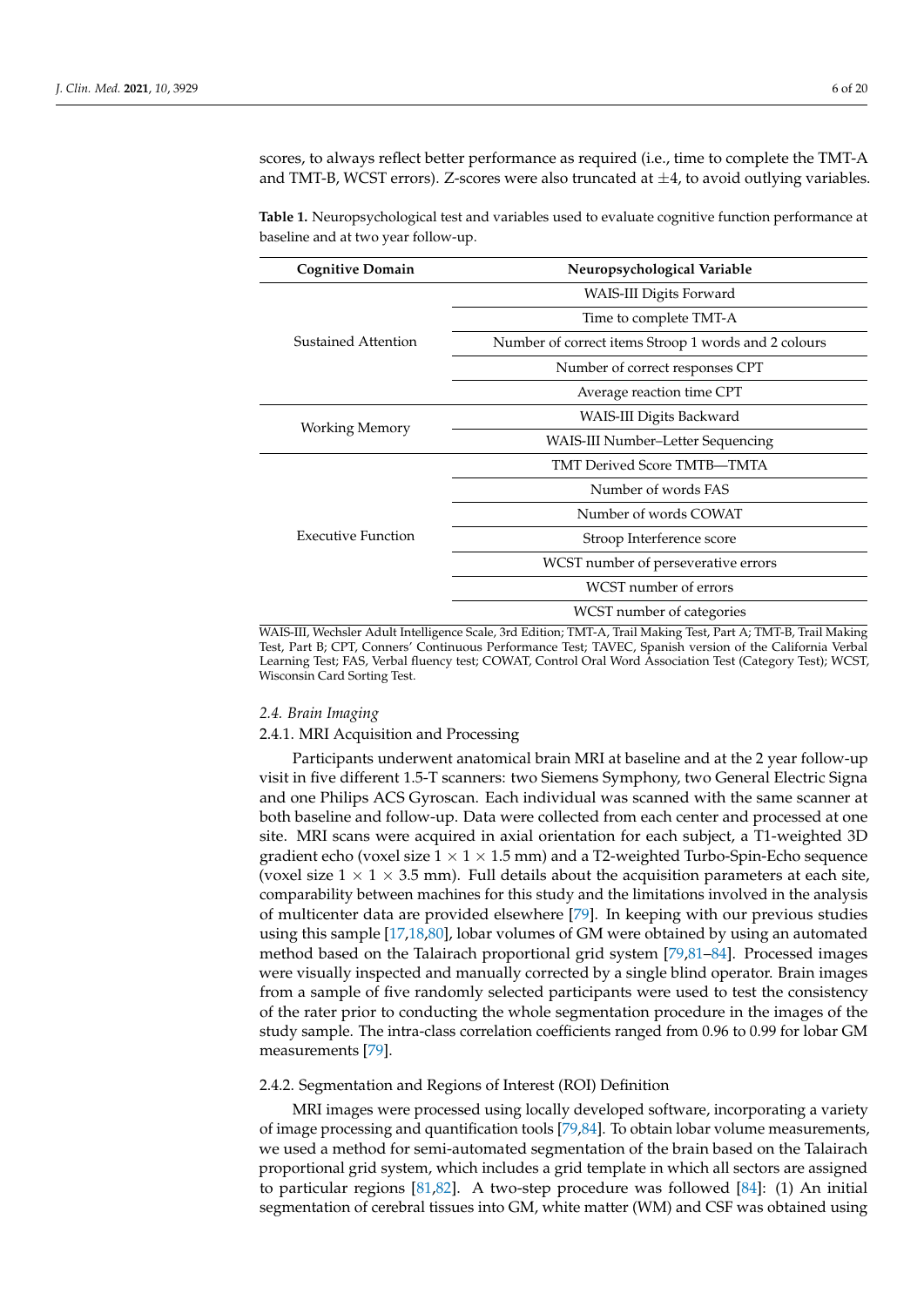scores, to always reflect better performance as required (i.e., time to complete the TMT-A and TMT-B, WCST errors). Z-scores were also truncated at  $\pm 4$ , to avoid outlying variables.

<span id="page-5-0"></span>**Table 1.** Neuropsychological test and variables used to evaluate cognitive function performance at baseline and at two year follow-up.

| <b>Cognitive Domain</b>   | Neuropsychological Variable                          |  |  |  |  |
|---------------------------|------------------------------------------------------|--|--|--|--|
| Sustained Attention       | WAIS-III Digits Forward                              |  |  |  |  |
|                           | Time to complete TMT-A                               |  |  |  |  |
|                           | Number of correct items Stroop 1 words and 2 colours |  |  |  |  |
|                           | Number of correct responses CPT                      |  |  |  |  |
|                           | Average reaction time CPT                            |  |  |  |  |
| Working Memory            | WAIS-III Digits Backward                             |  |  |  |  |
|                           | WAIS-III Number-Letter Sequencing                    |  |  |  |  |
|                           | TMT Derived Score TMTB-TMTA                          |  |  |  |  |
|                           | Number of words FAS                                  |  |  |  |  |
|                           | Number of words COWAT                                |  |  |  |  |
| <b>Executive Function</b> | Stroop Interference score                            |  |  |  |  |
|                           | WCST number of perseverative errors                  |  |  |  |  |
|                           | WCST number of errors                                |  |  |  |  |
|                           | WCST number of categories                            |  |  |  |  |

WAIS-III, Wechsler Adult Intelligence Scale, 3rd Edition; TMT-A, Trail Making Test, Part A; TMT-B, Trail Making Test, Part B; CPT, Conners' Continuous Performance Test; TAVEC, Spanish version of the California Verbal Learning Test; FAS, Verbal fluency test; COWAT, Control Oral Word Association Test (Category Test); WCST, Wisconsin Card Sorting Test.

## *2.4. Brain Imaging*

## 2.4.1. MRI Acquisition and Processing

Participants underwent anatomical brain MRI at baseline and at the 2 year follow-up visit in five different 1.5-T scanners: two Siemens Symphony, two General Electric Signa and one Philips ACS Gyroscan. Each individual was scanned with the same scanner at both baseline and follow-up. Data were collected from each center and processed at one site. MRI scans were acquired in axial orientation for each subject, a T1-weighted 3D gradient echo (voxel size  $1 \times 1 \times 1.5$  mm) and a T2-weighted Turbo-Spin-Echo sequence (voxel size  $1 \times 1 \times 3.5$  mm). Full details about the acquisition parameters at each site, comparability between machines for this study and the limitations involved in the analysis of multicenter data are provided elsewhere [\[79\]](#page-18-1). In keeping with our previous studies using this sample [\[17](#page-15-17)[,18](#page-15-18)[,80\]](#page-18-2), lobar volumes of GM were obtained by using an automated method based on the Talairach proportional grid system [\[79](#page-18-1)[,81](#page-18-3)[–84\]](#page-18-4). Processed images were visually inspected and manually corrected by a single blind operator. Brain images from a sample of five randomly selected participants were used to test the consistency of the rater prior to conducting the whole segmentation procedure in the images of the study sample. The intra-class correlation coefficients ranged from 0.96 to 0.99 for lobar GM measurements [\[79\]](#page-18-1).

## 2.4.2. Segmentation and Regions of Interest (ROI) Definition

MRI images were processed using locally developed software, incorporating a variety of image processing and quantification tools [\[79](#page-18-1)[,84\]](#page-18-4). To obtain lobar volume measurements, we used a method for semi-automated segmentation of the brain based on the Talairach proportional grid system, which includes a grid template in which all sectors are assigned to particular regions [\[81](#page-18-3)[,82\]](#page-18-5). A two-step procedure was followed [\[84\]](#page-18-4): (1) An initial segmentation of cerebral tissues into GM, white matter (WM) and CSF was obtained using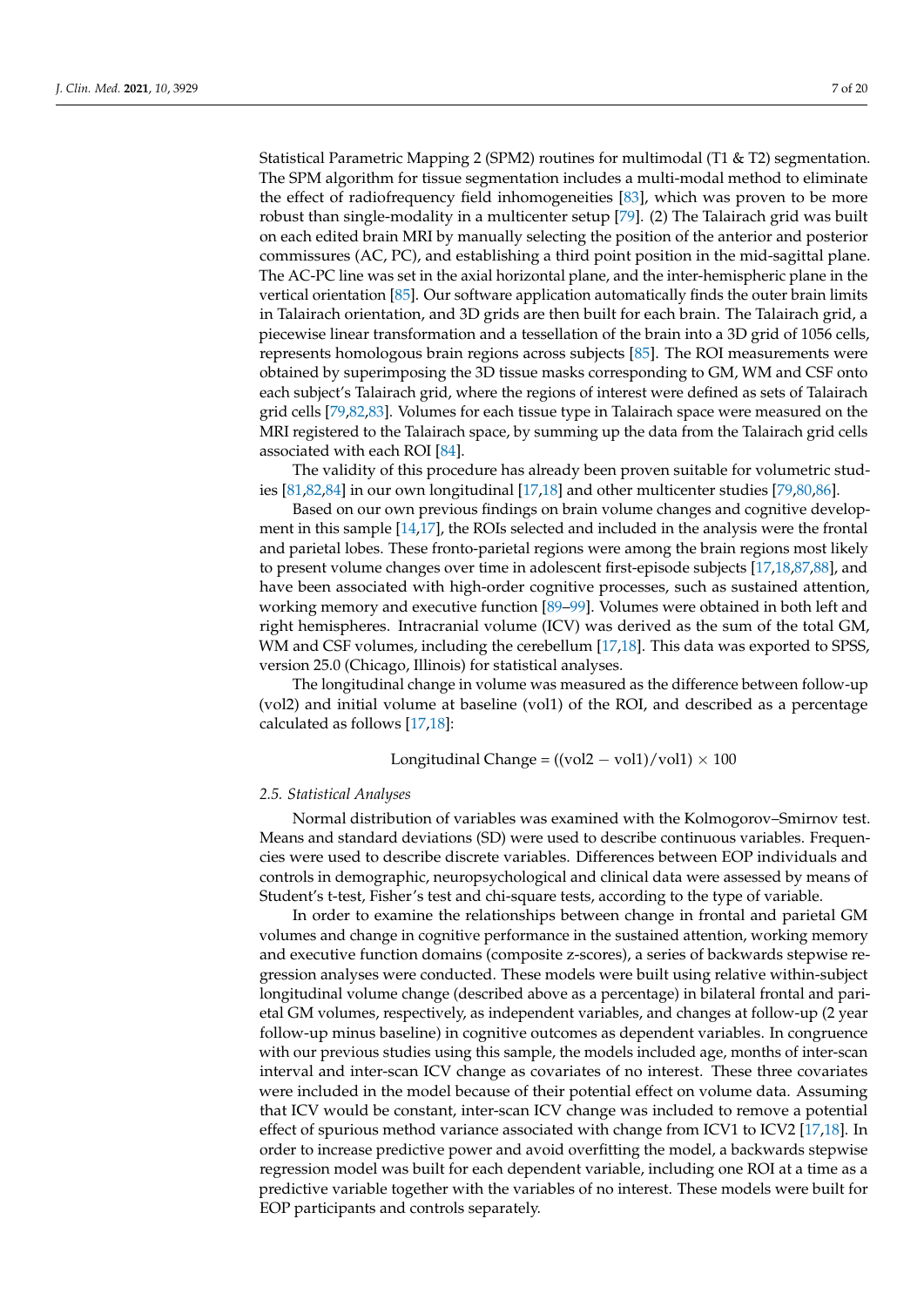Statistical Parametric Mapping 2 (SPM2) routines for multimodal (T1 & T2) segmentation. The SPM algorithm for tissue segmentation includes a multi-modal method to eliminate the effect of radiofrequency field inhomogeneities [\[83\]](#page-18-6), which was proven to be more robust than single-modality in a multicenter setup [\[79\]](#page-18-1). (2) The Talairach grid was built on each edited brain MRI by manually selecting the position of the anterior and posterior commissures (AC, PC), and establishing a third point position in the mid-sagittal plane. The AC-PC line was set in the axial horizontal plane, and the inter-hemispheric plane in the vertical orientation [\[85\]](#page-18-7). Our software application automatically finds the outer brain limits in Talairach orientation, and 3D grids are then built for each brain. The Talairach grid, a piecewise linear transformation and a tessellation of the brain into a 3D grid of 1056 cells, represents homologous brain regions across subjects [\[85\]](#page-18-7). The ROI measurements were obtained by superimposing the 3D tissue masks corresponding to GM, WM and CSF onto each subject's Talairach grid, where the regions of interest were defined as sets of Talairach grid cells [\[79,](#page-18-1)[82,](#page-18-5)[83\]](#page-18-6). Volumes for each tissue type in Talairach space were measured on the MRI registered to the Talairach space, by summing up the data from the Talairach grid cells associated with each ROI [\[84\]](#page-18-4).

The validity of this procedure has already been proven suitable for volumetric studies [\[81](#page-18-3)[,82](#page-18-5)[,84\]](#page-18-4) in our own longitudinal [\[17,](#page-15-17)[18\]](#page-15-18) and other multicenter studies [\[79](#page-18-1)[,80](#page-18-2)[,86\]](#page-18-8).

Based on our own previous findings on brain volume changes and cognitive development in this sample [\[14,](#page-15-6)[17\]](#page-15-17), the ROIs selected and included in the analysis were the frontal and parietal lobes. These fronto-parietal regions were among the brain regions most likely to present volume changes over time in adolescent first-episode subjects [\[17,](#page-15-17)[18](#page-15-18)[,87](#page-18-9)[,88\]](#page-18-10), and have been associated with high-order cognitive processes, such as sustained attention, working memory and executive function [\[89](#page-18-11)[–99\]](#page-18-12). Volumes were obtained in both left and right hemispheres. Intracranial volume (ICV) was derived as the sum of the total GM, WM and CSF volumes, including the cerebellum [\[17](#page-15-17)[,18\]](#page-15-18). This data was exported to SPSS, version 25.0 (Chicago, Illinois) for statistical analyses.

The longitudinal change in volume was measured as the difference between follow-up (vol2) and initial volume at baseline (vol1) of the ROI, and described as a percentage calculated as follows [\[17](#page-15-17)[,18\]](#page-15-18):

Longitudinal Change =  $((\text{vol}2 - \text{vol}1)/\text{vol}1) \times 100$ 

## *2.5. Statistical Analyses*

Normal distribution of variables was examined with the Kolmogorov–Smirnov test. Means and standard deviations (SD) were used to describe continuous variables. Frequencies were used to describe discrete variables. Differences between EOP individuals and controls in demographic, neuropsychological and clinical data were assessed by means of Student's t-test, Fisher's test and chi-square tests, according to the type of variable.

In order to examine the relationships between change in frontal and parietal GM volumes and change in cognitive performance in the sustained attention, working memory and executive function domains (composite z-scores), a series of backwards stepwise regression analyses were conducted. These models were built using relative within-subject longitudinal volume change (described above as a percentage) in bilateral frontal and parietal GM volumes, respectively, as independent variables, and changes at follow-up (2 year follow-up minus baseline) in cognitive outcomes as dependent variables. In congruence with our previous studies using this sample, the models included age, months of inter-scan interval and inter-scan ICV change as covariates of no interest. These three covariates were included in the model because of their potential effect on volume data. Assuming that ICV would be constant, inter-scan ICV change was included to remove a potential effect of spurious method variance associated with change from ICV1 to ICV2 [\[17,](#page-15-17)[18\]](#page-15-18). In order to increase predictive power and avoid overfitting the model, a backwards stepwise regression model was built for each dependent variable, including one ROI at a time as a predictive variable together with the variables of no interest. These models were built for EOP participants and controls separately.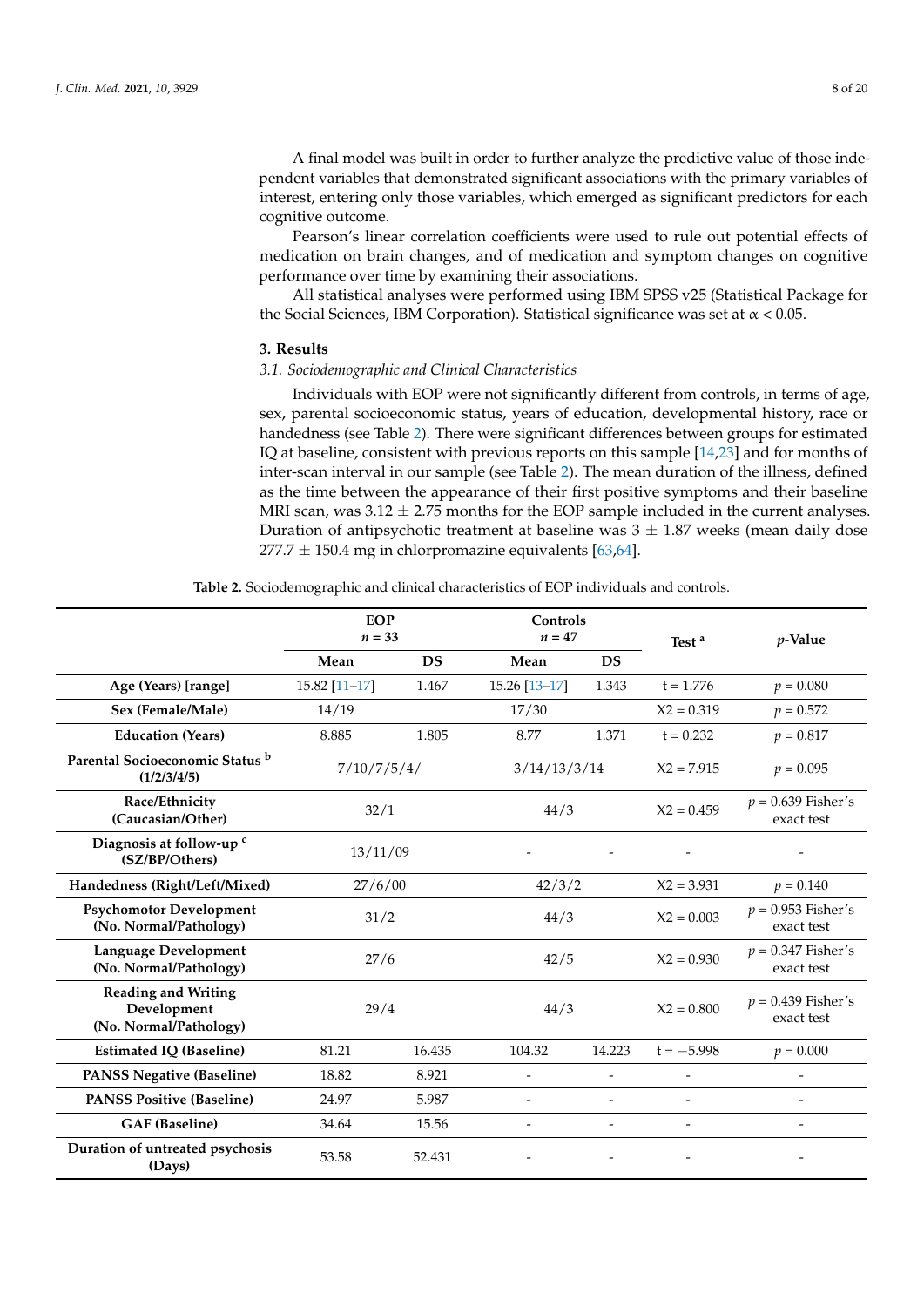A final model was built in order to further analyze the predictive value of those independent variables that demonstrated significant associations with the primary variables of interest, entering only those variables, which emerged as significant predictors for each cognitive outcome.

Pearson's linear correlation coefficients were used to rule out potential effects of medication on brain changes, and of medication and symptom changes on cognitive performance over time by examining their associations.

All statistical analyses were performed using IBM SPSS v25 (Statistical Package for the Social Sciences, IBM Corporation). Statistical significance was set at  $\alpha$  < 0.05.

## **3. Results**

## *3.1. Sociodemographic and Clinical Characteristics*

Individuals with EOP were not significantly different from controls, in terms of age, sex, parental socioeconomic status, years of education, developmental history, race or handedness (see Table [2\)](#page-7-0). There were significant differences between groups for estimated IQ at baseline, consistent with previous reports on this sample [\[14,](#page-15-6)[23\]](#page-15-12) and for months of inter-scan interval in our sample (see Table [2\)](#page-7-0). The mean duration of the illness, defined as the time between the appearance of their first positive symptoms and their baseline MRI scan, was  $3.12 \pm 2.75$  months for the EOP sample included in the current analyses. Duration of antipsychotic treatment at baseline was  $3 \pm 1.87$  weeks (mean daily dose  $277.7 \pm 150.4$  mg in chlorpromazine equivalents [\[63](#page-17-12)[,64\]](#page-17-13).

<span id="page-7-0"></span>

|                                                                     | <b>EOP</b><br>$n = 33$ |           | Controls<br>$n=47$       |                          | Test <sup>a</sup> | $p$ -Value                         |
|---------------------------------------------------------------------|------------------------|-----------|--------------------------|--------------------------|-------------------|------------------------------------|
|                                                                     | Mean                   | <b>DS</b> | Mean                     | <b>DS</b>                |                   |                                    |
| Age (Years) [range]                                                 | 15.82 [11-17]          | 1.467     | 15.26 [13-17]            | 1.343                    | $t = 1.776$       | $p = 0.080$                        |
| Sex (Female/Male)                                                   | 14/19                  |           | 17/30                    |                          | $X2 = 0.319$      | $p = 0.572$                        |
| <b>Education (Years)</b>                                            | 8.885                  | 1.805     | 8.77                     | 1.371                    | $t = 0.232$       | $p = 0.817$                        |
| Parental Socioeconomic Status <sup>b</sup><br>(1/2/3/4/5)           | 7/10/7/5/4/            |           | 3/14/13/3/14             |                          | $X2 = 7.915$      | $p = 0.095$                        |
| Race/Ethnicity<br>(Caucasian/Other)                                 | 32/1                   |           | 44/3                     |                          | $X2 = 0.459$      | $p = 0.639$ Fisher's<br>exact test |
| Diagnosis at follow-up <sup>c</sup><br>(SZ/BP/Others)               | 13/11/09               |           |                          |                          |                   | $\overline{\phantom{0}}$           |
| Handedness (Right/Left/Mixed)                                       | 27/6/00                |           | 42/3/2                   |                          | $X2 = 3.931$      | $p = 0.140$                        |
| <b>Psychomotor Development</b><br>(No. Normal/Pathology)            | 31/2                   |           | 44/3                     |                          | $X2 = 0.003$      | $p = 0.953$ Fisher's<br>exact test |
| Language Development<br>(No. Normal/Pathology)                      | 27/6                   |           | 42/5                     |                          | $X2 = 0.930$      | $p = 0.347$ Fisher's<br>exact test |
| <b>Reading and Writing</b><br>Development<br>(No. Normal/Pathology) | 29/4                   |           | 44/3                     |                          | $X2 = 0.800$      | $p = 0.439$ Fisher's<br>exact test |
| <b>Estimated IQ (Baseline)</b>                                      | 81.21                  | 16.435    | 104.32                   | 14.223                   | $t = -5.998$      | $p = 0.000$                        |
| <b>PANSS Negative (Baseline)</b>                                    | 18.82                  | 8.921     | $\overline{\phantom{a}}$ | $\overline{\phantom{a}}$ |                   |                                    |
| <b>PANSS Positive (Baseline)</b>                                    | 24.97                  | 5.987     |                          | $\overline{\phantom{0}}$ |                   |                                    |
| <b>GAF</b> (Baseline)                                               | 34.64                  | 15.56     |                          | $\overline{\phantom{0}}$ |                   | -                                  |
| Duration of untreated psychosis<br>(Days)                           | 53.58                  | 52.431    |                          |                          |                   |                                    |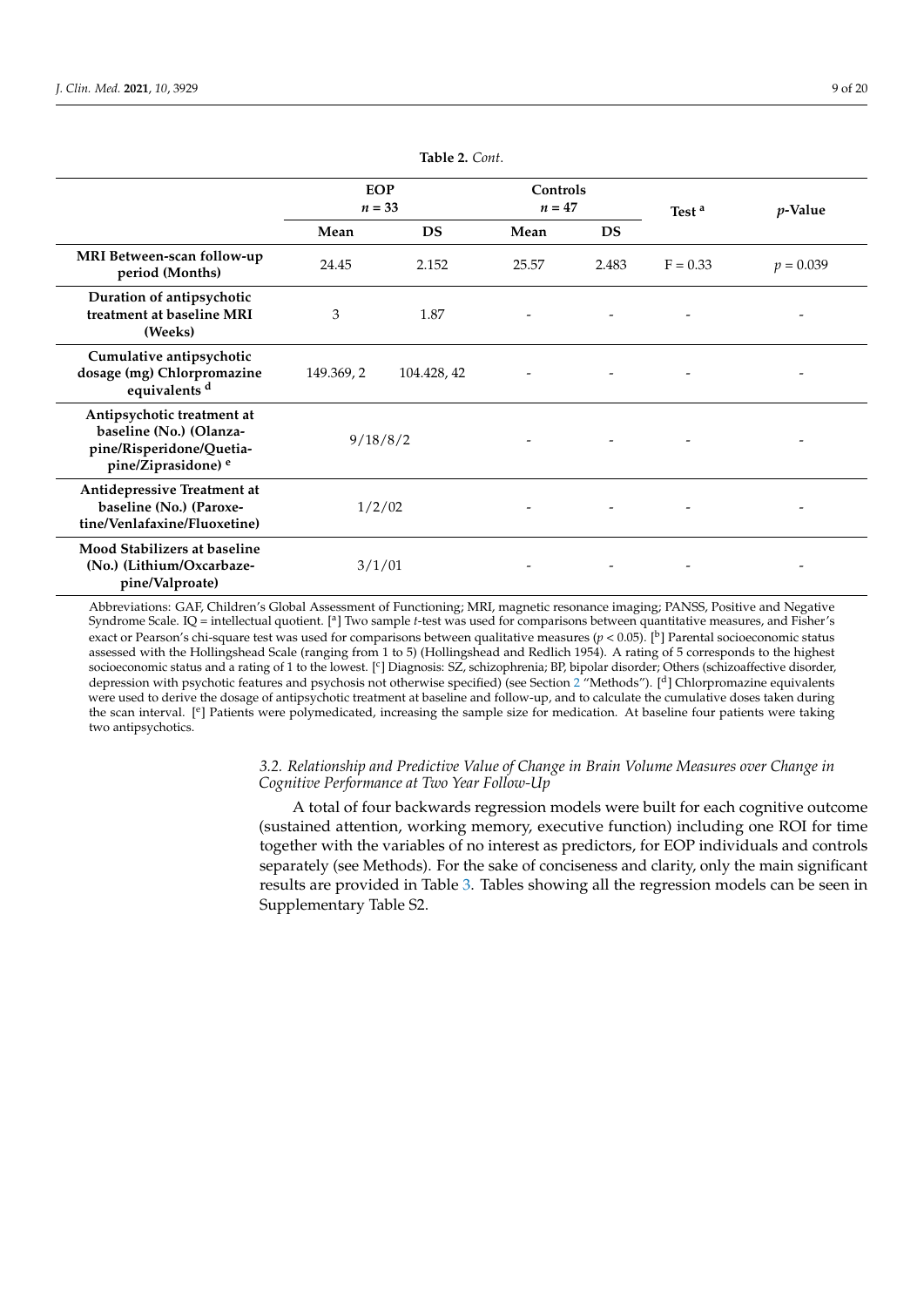|                                                                                                                     | <b>EOP</b><br>$n = 33$ |             | Controls<br>$n=47$ |           | Test <sup>a</sup> | <i>p</i> -Value |
|---------------------------------------------------------------------------------------------------------------------|------------------------|-------------|--------------------|-----------|-------------------|-----------------|
|                                                                                                                     | Mean                   | DS          | Mean               | <b>DS</b> |                   |                 |
| MRI Between-scan follow-up<br>period (Months)                                                                       | 24.45                  | 2.152       | 25.57              | 2.483     | $F = 0.33$        | $p = 0.039$     |
| Duration of antipsychotic<br>treatment at baseline MRI<br>(Weeks)                                                   | 3                      | 1.87        |                    |           |                   |                 |
| Cumulative antipsychotic<br>dosage (mg) Chlorpromazine<br>equivalents <sup>d</sup>                                  | 149.369, 2             | 104.428, 42 |                    |           |                   |                 |
| Antipsychotic treatment at<br>baseline (No.) (Olanza-<br>pine/Risperidone/Quetia-<br>pine/Ziprasidone) <sup>e</sup> | 9/18/8/2               |             |                    |           |                   |                 |
| Antidepressive Treatment at<br>baseline (No.) (Paroxe-<br>tine/Venlafaxine/Fluoxetine)                              | 1/2/02                 |             |                    |           |                   |                 |
| <b>Mood Stabilizers at baseline</b><br>(No.) (Lithium/Oxcarbaze-<br>pine/Valproate)                                 | 3/1/01                 |             |                    |           |                   |                 |

**Table 2.** *Cont*.

Abbreviations: GAF, Children's Global Assessment of Functioning; MRI, magnetic resonance imaging; PANSS, Positive and Negative Syndrome Scale. IQ = intellectual quotient. [<sup>a</sup>] Two sample *t*-test was used for comparisons between quantitative measures, and Fisher's exact or Pearson's chi-square test was used for comparisons between qualitative measures  $(p < 0.05)$ . [<sup>b</sup>] Parental socioeconomic status assessed with the Hollingshead Scale (ranging from 1 to 5) (Hollingshead and Redlich 1954). A rating of 5 corresponds to the highest socioeconomic status and a rating of 1 to the lowest. [<sup>c</sup>] Diagnosis: SZ, schizophrenia; BP, bipolar disorder; Others (schizoaffective disorder, depression with psychotic features and psychosis not otherwise specified) (see Section [2](#page-2-0) "Methods"). [<sup>d</sup>] Chlorpromazine equivalents were used to derive the dosage of antipsychotic treatment at baseline and follow-up, and to calculate the cumulative doses taken during the scan interval. [<sup>e</sup>] Patients were polymedicated, increasing the sample size for medication. At baseline four patients were taking two antipsychotics.

> *3.2. Relationship and Predictive Value of Change in Brain Volume Measures over Change in Cognitive Performance at Two Year Follow-Up*

A total of four backwards regression models were built for each cognitive outcome (sustained attention, working memory, executive function) including one ROI for time together with the variables of no interest as predictors, for EOP individuals and controls separately (see Methods). For the sake of conciseness and clarity, only the main significant results are provided in Table [3.](#page-9-0) Tables showing all the regression models can be seen in Supplementary Table S2.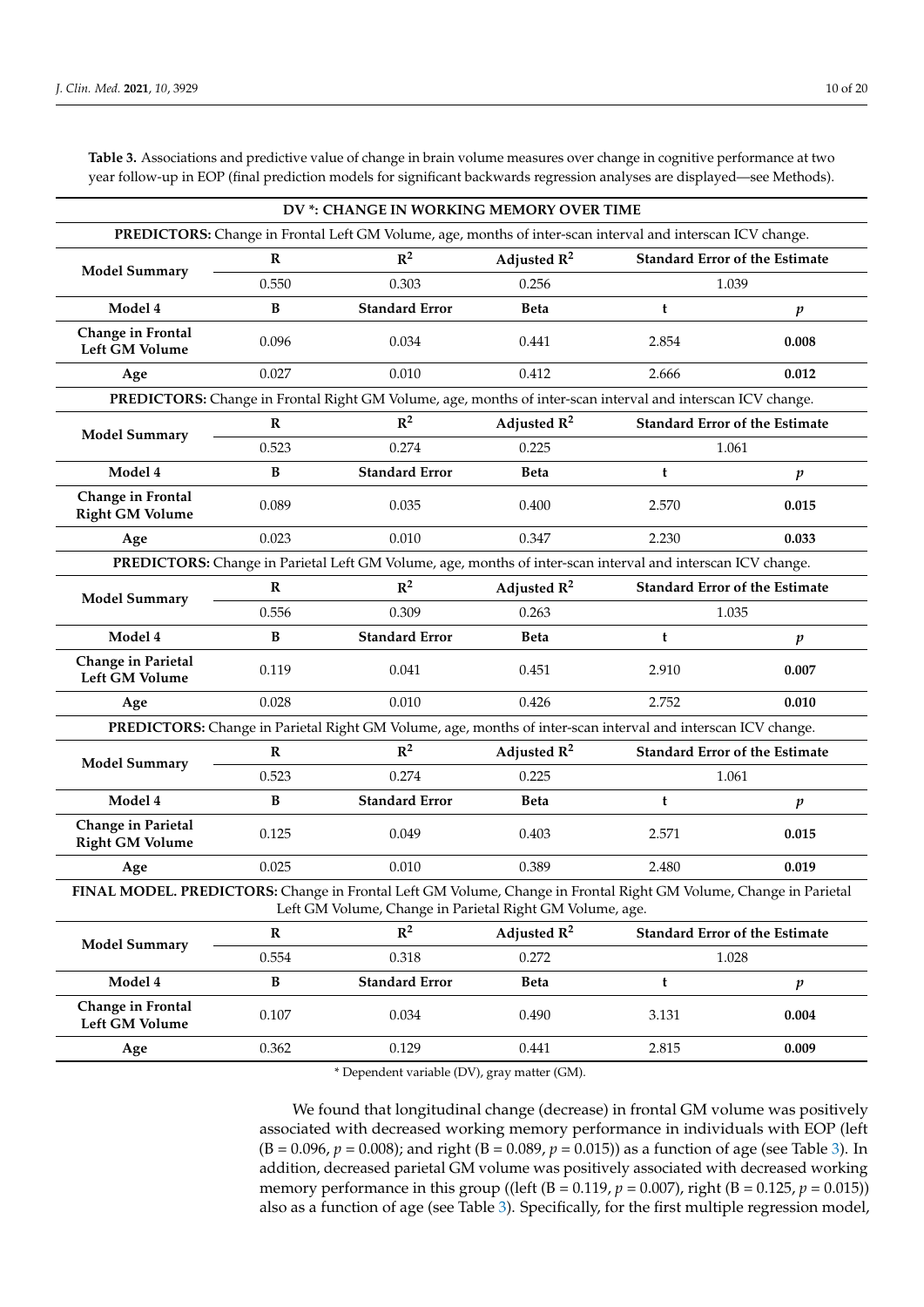|                                                                                                                  |              | DV *: CHANGE IN WORKING MEMORY OVER TIME                                                                    |                         |                                                                                                              |                                       |  |
|------------------------------------------------------------------------------------------------------------------|--------------|-------------------------------------------------------------------------------------------------------------|-------------------------|--------------------------------------------------------------------------------------------------------------|---------------------------------------|--|
|                                                                                                                  |              | PREDICTORS: Change in Frontal Left GM Volume, age, months of inter-scan interval and interscan ICV change.  |                         |                                                                                                              |                                       |  |
| <b>Model Summary</b>                                                                                             | $\mathbb{R}$ | $\mathbb{R}^2$                                                                                              | Adjusted $R^2$          | <b>Standard Error of the Estimate</b>                                                                        |                                       |  |
|                                                                                                                  | 0.550        | 0.303                                                                                                       | 0.256                   |                                                                                                              | 1.039                                 |  |
| Model 4                                                                                                          | B            | <b>Standard Error</b>                                                                                       | <b>Beta</b>             | t                                                                                                            | p                                     |  |
| Change in Frontal<br>Left GM Volume                                                                              | 0.096        | 0.034                                                                                                       | 0.441                   | 2.854                                                                                                        | 0.008                                 |  |
| Age                                                                                                              | 0.027        | 0.010                                                                                                       | 0.412                   | 2.666                                                                                                        | 0.012                                 |  |
|                                                                                                                  |              | PREDICTORS: Change in Frontal Right GM Volume, age, months of inter-scan interval and interscan ICV change. |                         |                                                                                                              |                                       |  |
| <b>Model Summary</b>                                                                                             | $\mathbf R$  | $\mathbb{R}^2$                                                                                              | Adjusted $\mathbb{R}^2$ | <b>Standard Error of the Estimate</b>                                                                        |                                       |  |
|                                                                                                                  | 0.523        | 0.274                                                                                                       | 0.225                   |                                                                                                              | 1.061                                 |  |
| Model 4                                                                                                          | B            | <b>Standard Error</b>                                                                                       | <b>Beta</b>             | t                                                                                                            | p                                     |  |
| Change in Frontal<br><b>Right GM Volume</b>                                                                      | 0.089        | 0.035                                                                                                       | 0.400                   | 2.570                                                                                                        | 0.015                                 |  |
| Age                                                                                                              | 0.023        | 0.010                                                                                                       | 0.347                   | 2.230                                                                                                        | 0.033                                 |  |
|                                                                                                                  |              | PREDICTORS: Change in Parietal Left GM Volume, age, months of inter-scan interval and interscan ICV change. |                         |                                                                                                              |                                       |  |
| <b>Model Summary</b>                                                                                             | $\mathbb{R}$ | $\mathbb{R}^2$                                                                                              | Adjusted $\mathbb{R}^2$ |                                                                                                              | <b>Standard Error of the Estimate</b> |  |
|                                                                                                                  | 0.556        | 0.309                                                                                                       | 0.263                   |                                                                                                              | 1.035                                 |  |
| Model 4                                                                                                          | B            | <b>Standard Error</b>                                                                                       | <b>Beta</b>             | t                                                                                                            | p                                     |  |
| Change in Parietal<br><b>Left GM Volume</b>                                                                      | 0.119        | 0.041                                                                                                       | 0.451                   | 2.910                                                                                                        | 0.007                                 |  |
| Age                                                                                                              | 0.028        | 0.010                                                                                                       | 0.426                   | 2.752                                                                                                        | 0.010                                 |  |
|                                                                                                                  |              |                                                                                                             |                         | PREDICTORS: Change in Parietal Right GM Volume, age, months of inter-scan interval and interscan ICV change. |                                       |  |
|                                                                                                                  |              |                                                                                                             |                         |                                                                                                              |                                       |  |
|                                                                                                                  | $\mathbb{R}$ | $R^2$                                                                                                       | Adjusted $\mathbb{R}^2$ |                                                                                                              | <b>Standard Error of the Estimate</b> |  |
| <b>Model Summary</b>                                                                                             | 0.523        | 0.274                                                                                                       | 0.225                   |                                                                                                              | 1.061                                 |  |
| Model 4                                                                                                          | B            | <b>Standard Error</b>                                                                                       | <b>Beta</b>             | t                                                                                                            | p                                     |  |
| Change in Parietal<br><b>Right GM Volume</b>                                                                     | 0.125        | 0.049                                                                                                       | 0.403                   | 2.571                                                                                                        | 0.015                                 |  |
| Age                                                                                                              | 0.025        | 0.010                                                                                                       | 0.389                   | 2.480                                                                                                        | 0.019                                 |  |
| FINAL MODEL. PREDICTORS: Change in Frontal Left GM Volume, Change in Frontal Right GM Volume, Change in Parietal |              | Left GM Volume, Change in Parietal Right GM Volume, age.                                                    |                         |                                                                                                              |                                       |  |
|                                                                                                                  | $\bf R$      | $\mathbb{R}^2$                                                                                              | Adjusted $\mathbb{R}^2$ |                                                                                                              | <b>Standard Error of the Estimate</b> |  |
| <b>Model Summary</b>                                                                                             | 0.554        | 0.318                                                                                                       | 0.272                   |                                                                                                              | 1.028                                 |  |
| Model 4                                                                                                          | $\, {\bf B}$ | <b>Standard Error</b>                                                                                       | <b>Beta</b>             | t                                                                                                            | $\boldsymbol{p}$                      |  |
| Change in Frontal<br><b>Left GM Volume</b>                                                                       | 0.107        | 0.034                                                                                                       | 0.490                   | 3.131                                                                                                        | 0.004                                 |  |

<span id="page-9-0"></span>**Table 3.** Associations and predictive value of change in brain volume measures over change in cognitive performance at two year follow-up in EOP (final prediction models for significant backwards regression analyses are displayed—see Methods).

\* Dependent variable (DV), gray matter (GM).

We found that longitudinal change (decrease) in frontal GM volume was positively associated with decreased working memory performance in individuals with EOP (left  $(B = 0.096, p = 0.008)$ ; and right  $(B = 0.089, p = 0.015)$  as a function of age (see Table [3\)](#page-9-0). In addition, decreased parietal GM volume was positively associated with decreased working memory performance in this group ((left  $(B = 0.119, p = 0.007)$ , right  $(B = 0.125, p = 0.015)$ ) also as a function of age (see Table [3\)](#page-9-0). Specifically, for the first multiple regression model,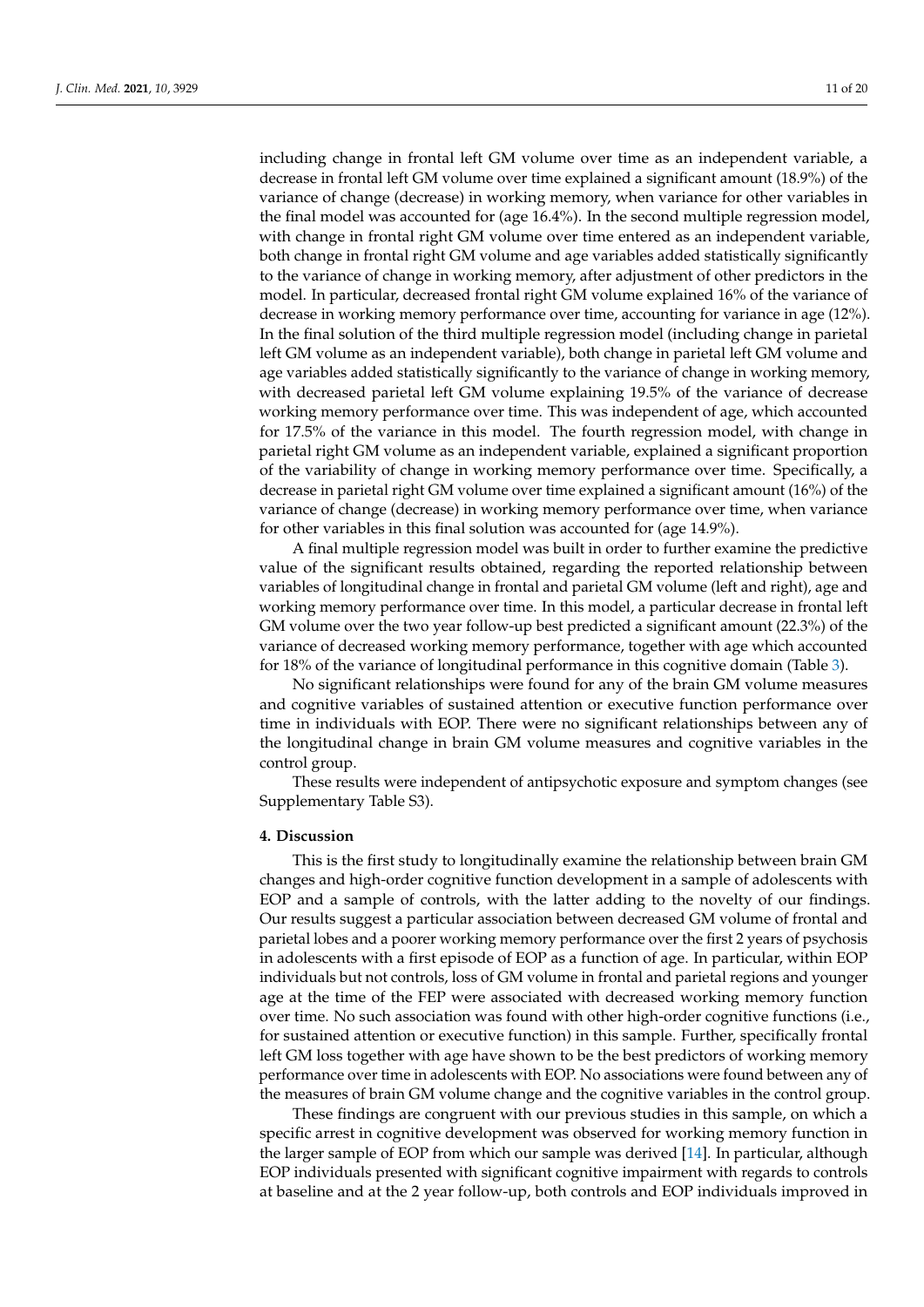including change in frontal left GM volume over time as an independent variable, a decrease in frontal left GM volume over time explained a significant amount (18.9%) of the variance of change (decrease) in working memory, when variance for other variables in the final model was accounted for (age 16.4%). In the second multiple regression model, with change in frontal right GM volume over time entered as an independent variable, both change in frontal right GM volume and age variables added statistically significantly to the variance of change in working memory, after adjustment of other predictors in the model. In particular, decreased frontal right GM volume explained 16% of the variance of decrease in working memory performance over time, accounting for variance in age (12%). In the final solution of the third multiple regression model (including change in parietal left GM volume as an independent variable), both change in parietal left GM volume and age variables added statistically significantly to the variance of change in working memory, with decreased parietal left GM volume explaining 19.5% of the variance of decrease working memory performance over time. This was independent of age, which accounted for 17.5% of the variance in this model. The fourth regression model, with change in parietal right GM volume as an independent variable, explained a significant proportion of the variability of change in working memory performance over time. Specifically, a decrease in parietal right GM volume over time explained a significant amount (16%) of the variance of change (decrease) in working memory performance over time, when variance for other variables in this final solution was accounted for (age 14.9%).

A final multiple regression model was built in order to further examine the predictive value of the significant results obtained, regarding the reported relationship between variables of longitudinal change in frontal and parietal GM volume (left and right), age and working memory performance over time. In this model, a particular decrease in frontal left GM volume over the two year follow-up best predicted a significant amount (22.3%) of the variance of decreased working memory performance, together with age which accounted for 18% of the variance of longitudinal performance in this cognitive domain (Table [3\)](#page-9-0).

No significant relationships were found for any of the brain GM volume measures and cognitive variables of sustained attention or executive function performance over time in individuals with EOP. There were no significant relationships between any of the longitudinal change in brain GM volume measures and cognitive variables in the control group.

These results were independent of antipsychotic exposure and symptom changes (see Supplementary Table S3).

## **4. Discussion**

This is the first study to longitudinally examine the relationship between brain GM changes and high-order cognitive function development in a sample of adolescents with EOP and a sample of controls, with the latter adding to the novelty of our findings. Our results suggest a particular association between decreased GM volume of frontal and parietal lobes and a poorer working memory performance over the first 2 years of psychosis in adolescents with a first episode of EOP as a function of age. In particular, within EOP individuals but not controls, loss of GM volume in frontal and parietal regions and younger age at the time of the FEP were associated with decreased working memory function over time. No such association was found with other high-order cognitive functions (i.e., for sustained attention or executive function) in this sample. Further, specifically frontal left GM loss together with age have shown to be the best predictors of working memory performance over time in adolescents with EOP. No associations were found between any of the measures of brain GM volume change and the cognitive variables in the control group.

These findings are congruent with our previous studies in this sample, on which a specific arrest in cognitive development was observed for working memory function in the larger sample of EOP from which our sample was derived [\[14\]](#page-15-6). In particular, although EOP individuals presented with significant cognitive impairment with regards to controls at baseline and at the 2 year follow-up, both controls and EOP individuals improved in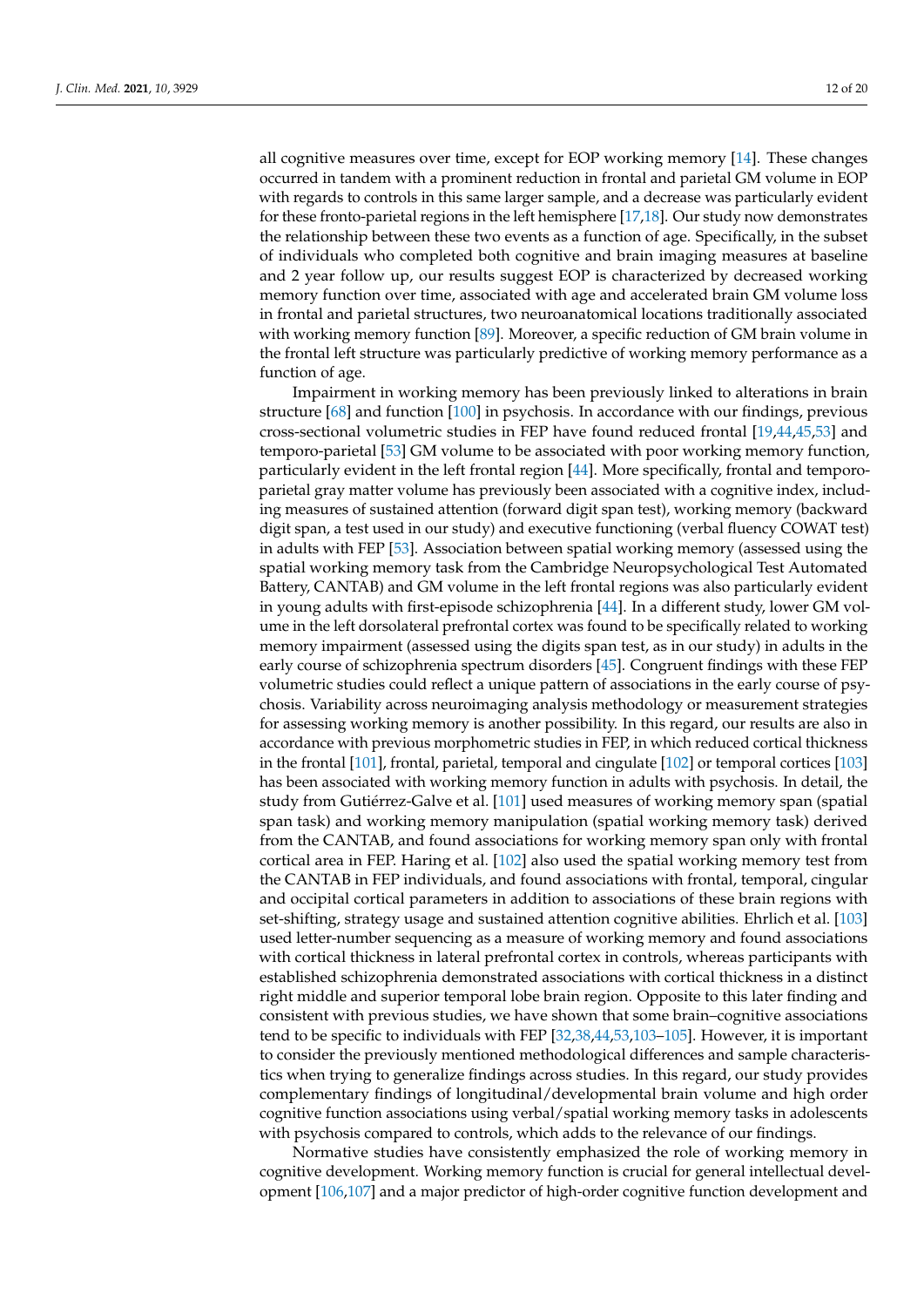all cognitive measures over time, except for EOP working memory [\[14\]](#page-15-6). These changes occurred in tandem with a prominent reduction in frontal and parietal GM volume in EOP with regards to controls in this same larger sample, and a decrease was particularly evident for these fronto-parietal regions in the left hemisphere [\[17,](#page-15-17)[18\]](#page-15-18). Our study now demonstrates the relationship between these two events as a function of age. Specifically, in the subset of individuals who completed both cognitive and brain imaging measures at baseline and 2 year follow up, our results suggest EOP is characterized by decreased working memory function over time, associated with age and accelerated brain GM volume loss in frontal and parietal structures, two neuroanatomical locations traditionally associated with working memory function [\[89\]](#page-18-11). Moreover, a specific reduction of GM brain volume in the frontal left structure was particularly predictive of working memory performance as a function of age.

Impairment in working memory has been previously linked to alterations in brain structure [\[68\]](#page-17-23) and function [\[100\]](#page-18-13) in psychosis. In accordance with our findings, previous cross-sectional volumetric studies in FEP have found reduced frontal [\[19,](#page-15-8)[44](#page-16-14)[,45,](#page-16-15)[53\]](#page-17-2) and temporo-parietal [\[53\]](#page-17-2) GM volume to be associated with poor working memory function, particularly evident in the left frontal region [\[44\]](#page-16-14). More specifically, frontal and temporoparietal gray matter volume has previously been associated with a cognitive index, including measures of sustained attention (forward digit span test), working memory (backward digit span, a test used in our study) and executive functioning (verbal fluency COWAT test) in adults with FEP [\[53\]](#page-17-2). Association between spatial working memory (assessed using the spatial working memory task from the Cambridge Neuropsychological Test Automated Battery, CANTAB) and GM volume in the left frontal regions was also particularly evident in young adults with first-episode schizophrenia [\[44\]](#page-16-14). In a different study, lower GM volume in the left dorsolateral prefrontal cortex was found to be specifically related to working memory impairment (assessed using the digits span test, as in our study) in adults in the early course of schizophrenia spectrum disorders [\[45\]](#page-16-15). Congruent findings with these FEP volumetric studies could reflect a unique pattern of associations in the early course of psychosis. Variability across neuroimaging analysis methodology or measurement strategies for assessing working memory is another possibility. In this regard, our results are also in accordance with previous morphometric studies in FEP, in which reduced cortical thickness in the frontal [\[101\]](#page-18-14), frontal, parietal, temporal and cingulate [\[102\]](#page-18-15) or temporal cortices [\[103\]](#page-18-16) has been associated with working memory function in adults with psychosis. In detail, the study from Gutiérrez-Galve et al. [\[101\]](#page-18-14) used measures of working memory span (spatial span task) and working memory manipulation (spatial working memory task) derived from the CANTAB, and found associations for working memory span only with frontal cortical area in FEP. Haring et al. [\[102\]](#page-18-15) also used the spatial working memory test from the CANTAB in FEP individuals, and found associations with frontal, temporal, cingular and occipital cortical parameters in addition to associations of these brain regions with set-shifting, strategy usage and sustained attention cognitive abilities. Ehrlich et al. [\[103\]](#page-18-16) used letter-number sequencing as a measure of working memory and found associations with cortical thickness in lateral prefrontal cortex in controls, whereas participants with established schizophrenia demonstrated associations with cortical thickness in a distinct right middle and superior temporal lobe brain region. Opposite to this later finding and consistent with previous studies, we have shown that some brain–cognitive associations tend to be specific to individuals with FEP [\[32](#page-16-16)[,38,](#page-16-17)[44,](#page-16-14)[53,](#page-17-2)[103–](#page-18-16)[105\]](#page-18-17). However, it is important to consider the previously mentioned methodological differences and sample characteristics when trying to generalize findings across studies. In this regard, our study provides complementary findings of longitudinal/developmental brain volume and high order cognitive function associations using verbal/spatial working memory tasks in adolescents with psychosis compared to controls, which adds to the relevance of our findings.

Normative studies have consistently emphasized the role of working memory in cognitive development. Working memory function is crucial for general intellectual development [\[106](#page-18-18)[,107\]](#page-19-0) and a major predictor of high-order cognitive function development and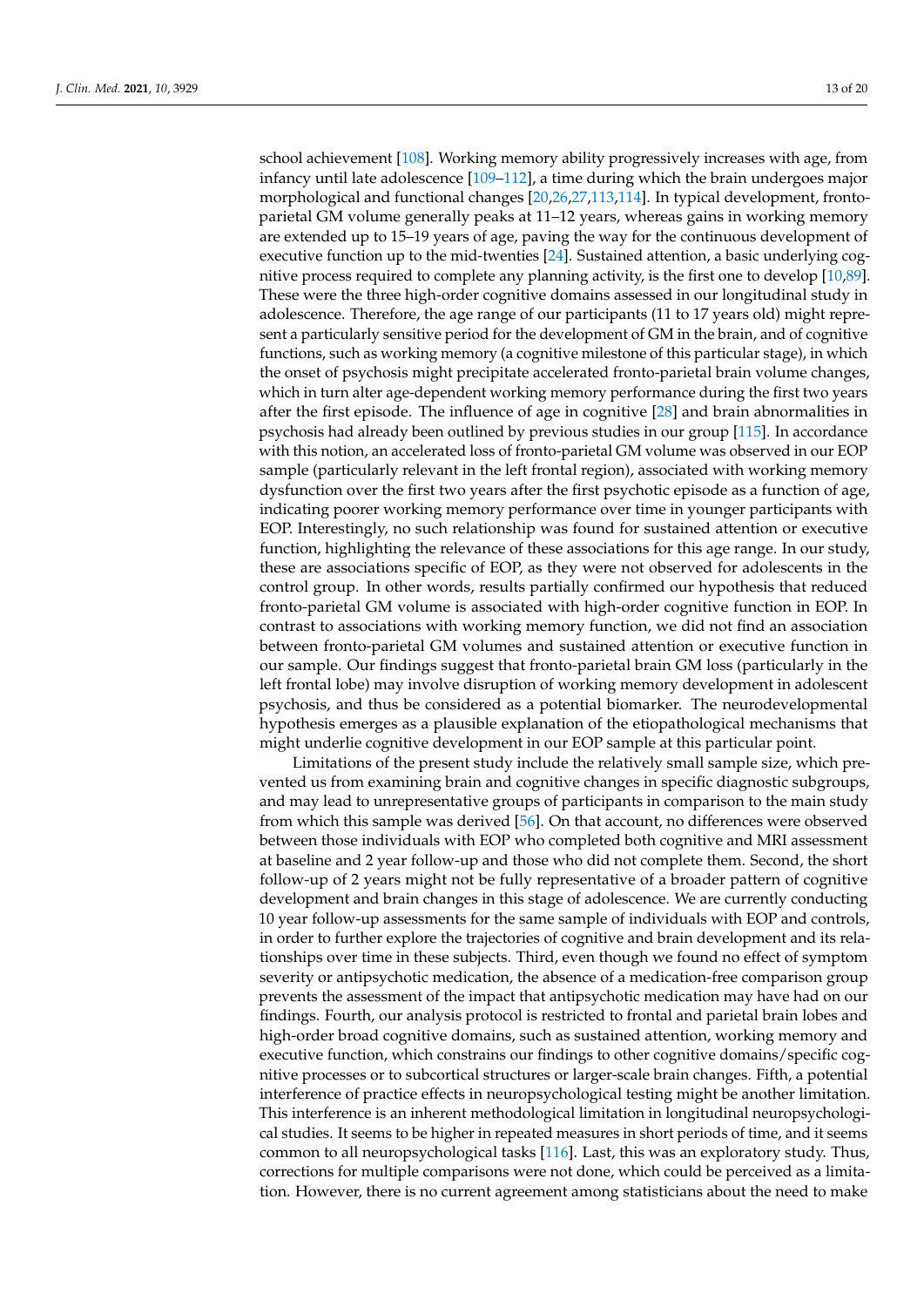school achievement [\[108\]](#page-19-1). Working memory ability progressively increases with age, from infancy until late adolescence [\[109–](#page-19-2)[112\]](#page-19-3), a time during which the brain undergoes major morphological and functional changes [\[20](#page-15-9)[,26](#page-15-15)[,27](#page-15-16)[,113](#page-19-4)[,114\]](#page-19-5). In typical development, frontoparietal GM volume generally peaks at 11–12 years, whereas gains in working memory are extended up to 15–19 years of age, paving the way for the continuous development of executive function up to the mid-twenties [\[24\]](#page-15-13). Sustained attention, a basic underlying cognitive process required to complete any planning activity, is the first one to develop [\[10](#page-15-19)[,89\]](#page-18-11). These were the three high-order cognitive domains assessed in our longitudinal study in adolescence. Therefore, the age range of our participants (11 to 17 years old) might represent a particularly sensitive period for the development of GM in the brain, and of cognitive functions, such as working memory (a cognitive milestone of this particular stage), in which the onset of psychosis might precipitate accelerated fronto-parietal brain volume changes, which in turn alter age-dependent working memory performance during the first two years after the first episode. The influence of age in cognitive [\[28\]](#page-16-0) and brain abnormalities in psychosis had already been outlined by previous studies in our group [\[115\]](#page-19-6). In accordance with this notion, an accelerated loss of fronto-parietal GM volume was observed in our EOP sample (particularly relevant in the left frontal region), associated with working memory dysfunction over the first two years after the first psychotic episode as a function of age, indicating poorer working memory performance over time in younger participants with EOP. Interestingly, no such relationship was found for sustained attention or executive function, highlighting the relevance of these associations for this age range. In our study, these are associations specific of EOP, as they were not observed for adolescents in the control group. In other words, results partially confirmed our hypothesis that reduced fronto-parietal GM volume is associated with high-order cognitive function in EOP. In contrast to associations with working memory function, we did not find an association between fronto-parietal GM volumes and sustained attention or executive function in our sample. Our findings suggest that fronto-parietal brain GM loss (particularly in the left frontal lobe) may involve disruption of working memory development in adolescent psychosis, and thus be considered as a potential biomarker. The neurodevelopmental hypothesis emerges as a plausible explanation of the etiopathological mechanisms that might underlie cognitive development in our EOP sample at this particular point.

Limitations of the present study include the relatively small sample size, which prevented us from examining brain and cognitive changes in specific diagnostic subgroups, and may lead to unrepresentative groups of participants in comparison to the main study from which this sample was derived [\[56\]](#page-17-5). On that account, no differences were observed between those individuals with EOP who completed both cognitive and MRI assessment at baseline and 2 year follow-up and those who did not complete them. Second, the short follow-up of 2 years might not be fully representative of a broader pattern of cognitive development and brain changes in this stage of adolescence. We are currently conducting 10 year follow-up assessments for the same sample of individuals with EOP and controls, in order to further explore the trajectories of cognitive and brain development and its relationships over time in these subjects. Third, even though we found no effect of symptom severity or antipsychotic medication, the absence of a medication-free comparison group prevents the assessment of the impact that antipsychotic medication may have had on our findings. Fourth, our analysis protocol is restricted to frontal and parietal brain lobes and high-order broad cognitive domains, such as sustained attention, working memory and executive function, which constrains our findings to other cognitive domains/specific cognitive processes or to subcortical structures or larger-scale brain changes. Fifth, a potential interference of practice effects in neuropsychological testing might be another limitation. This interference is an inherent methodological limitation in longitudinal neuropsychological studies. It seems to be higher in repeated measures in short periods of time, and it seems common to all neuropsychological tasks [\[116\]](#page-19-7). Last, this was an exploratory study. Thus, corrections for multiple comparisons were not done, which could be perceived as a limitation. However, there is no current agreement among statisticians about the need to make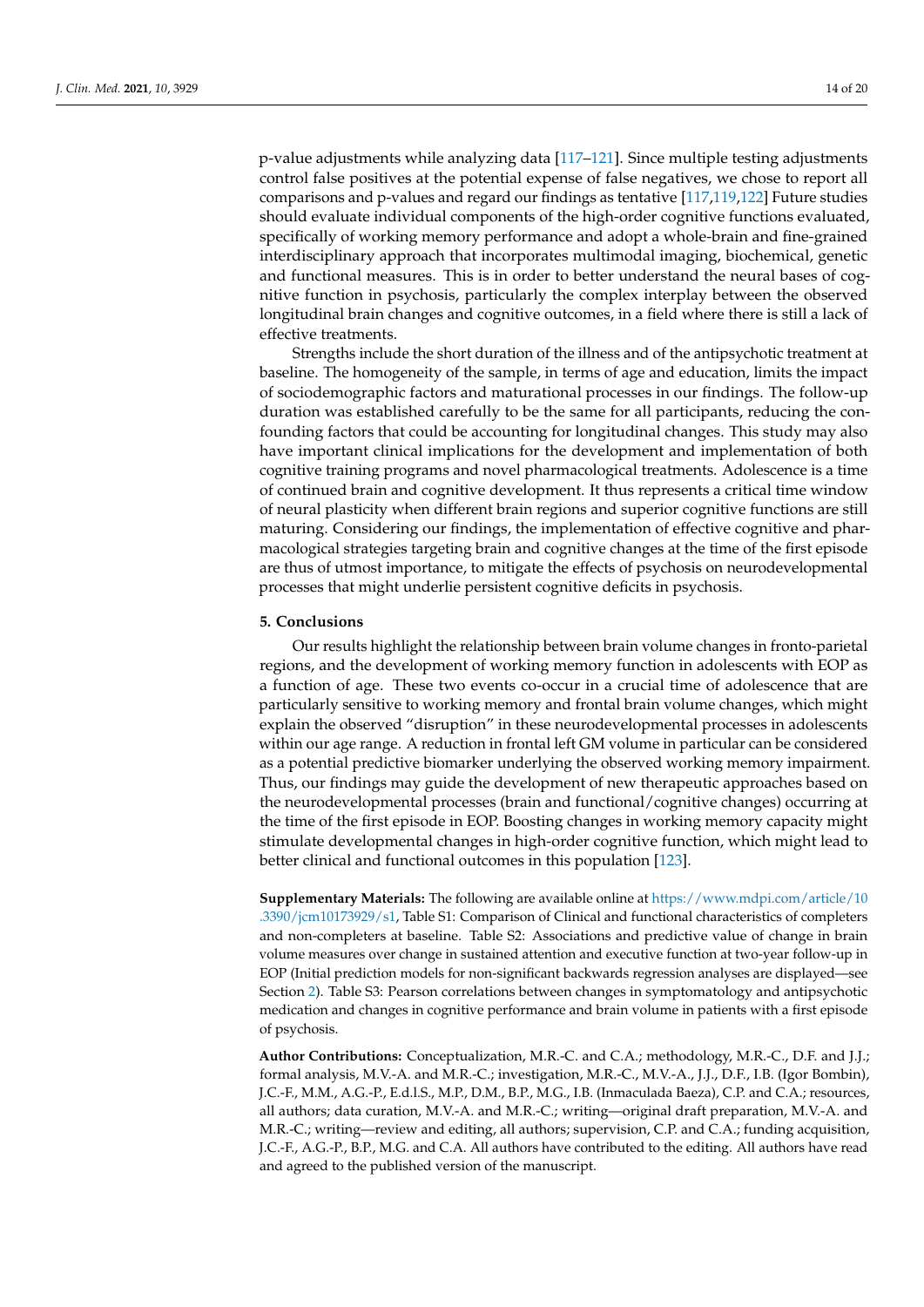p-value adjustments while analyzing data [\[117–](#page-19-8)[121\]](#page-19-9). Since multiple testing adjustments control false positives at the potential expense of false negatives, we chose to report all comparisons and p-values and regard our findings as tentative [\[117,](#page-19-8)[119,](#page-19-10)[122\]](#page-19-11) Future studies should evaluate individual components of the high-order cognitive functions evaluated, specifically of working memory performance and adopt a whole-brain and fine-grained interdisciplinary approach that incorporates multimodal imaging, biochemical, genetic and functional measures. This is in order to better understand the neural bases of cognitive function in psychosis, particularly the complex interplay between the observed longitudinal brain changes and cognitive outcomes, in a field where there is still a lack of effective treatments.

Strengths include the short duration of the illness and of the antipsychotic treatment at baseline. The homogeneity of the sample, in terms of age and education, limits the impact of sociodemographic factors and maturational processes in our findings. The follow-up duration was established carefully to be the same for all participants, reducing the confounding factors that could be accounting for longitudinal changes. This study may also have important clinical implications for the development and implementation of both cognitive training programs and novel pharmacological treatments. Adolescence is a time of continued brain and cognitive development. It thus represents a critical time window of neural plasticity when different brain regions and superior cognitive functions are still maturing. Considering our findings, the implementation of effective cognitive and pharmacological strategies targeting brain and cognitive changes at the time of the first episode are thus of utmost importance, to mitigate the effects of psychosis on neurodevelopmental processes that might underlie persistent cognitive deficits in psychosis.

# **5. Conclusions**

Our results highlight the relationship between brain volume changes in fronto-parietal regions, and the development of working memory function in adolescents with EOP as a function of age. These two events co-occur in a crucial time of adolescence that are particularly sensitive to working memory and frontal brain volume changes, which might explain the observed "disruption" in these neurodevelopmental processes in adolescents within our age range. A reduction in frontal left GM volume in particular can be considered as a potential predictive biomarker underlying the observed working memory impairment. Thus, our findings may guide the development of new therapeutic approaches based on the neurodevelopmental processes (brain and functional/cognitive changes) occurring at the time of the first episode in EOP. Boosting changes in working memory capacity might stimulate developmental changes in high-order cognitive function, which might lead to better clinical and functional outcomes in this population [\[123\]](#page-19-12).

**Supplementary Materials:** The following are available online at [https://www.mdpi.com/article/10](https://www.mdpi.com/article/10.3390/jcm10173929/s1) [.3390/jcm10173929/s1,](https://www.mdpi.com/article/10.3390/jcm10173929/s1) Table S1: Comparison of Clinical and functional characteristics of completers and non-completers at baseline. Table S2: Associations and predictive value of change in brain volume measures over change in sustained attention and executive function at two-year follow-up in EOP (Initial prediction models for non-significant backwards regression analyses are displayed—see Section [2\)](#page-2-0). Table S3: Pearson correlations between changes in symptomatology and antipsychotic medication and changes in cognitive performance and brain volume in patients with a first episode of psychosis.

**Author Contributions:** Conceptualization, M.R.-C. and C.A.; methodology, M.R.-C., D.F. and J.J.; formal analysis, M.V.-A. and M.R.-C.; investigation, M.R.-C., M.V.-A., J.J., D.F., I.B. (Igor Bombin), J.C.-F., M.M., A.G.-P., E.d.l.S., M.P., D.M., B.P., M.G., I.B. (Inmaculada Baeza), C.P. and C.A.; resources, all authors; data curation, M.V.-A. and M.R.-C.; writing—original draft preparation, M.V.-A. and M.R.-C.; writing—review and editing, all authors; supervision, C.P. and C.A.; funding acquisition, J.C.-F., A.G.-P., B.P., M.G. and C.A. All authors have contributed to the editing. All authors have read and agreed to the published version of the manuscript.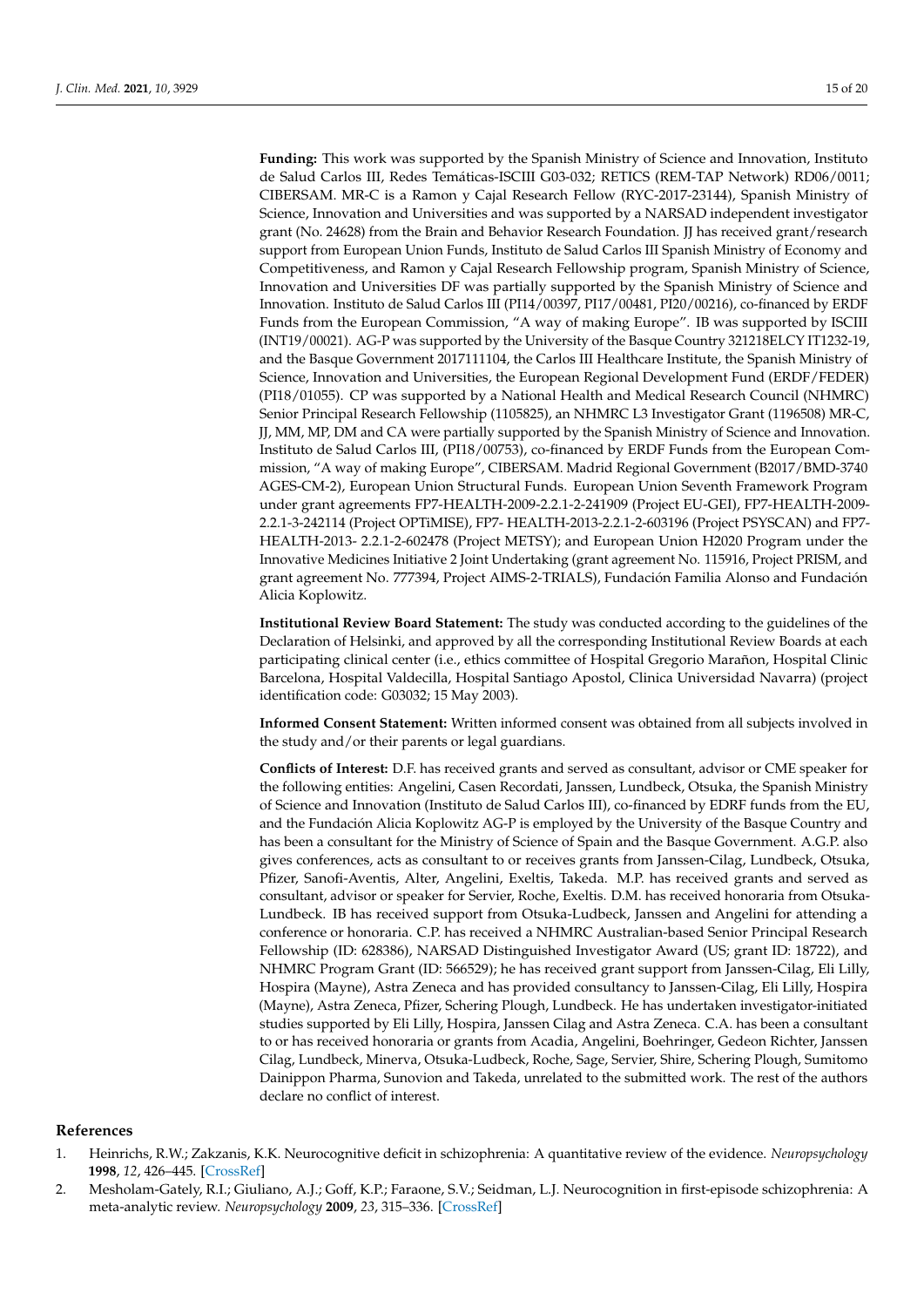**Funding:** This work was supported by the Spanish Ministry of Science and Innovation, Instituto de Salud Carlos III, Redes Temáticas-ISCIII G03-032; RETICS (REM-TAP Network) RD06/0011; CIBERSAM. MR-C is a Ramon y Cajal Research Fellow (RYC-2017-23144), Spanish Ministry of Science, Innovation and Universities and was supported by a NARSAD independent investigator grant (No. 24628) from the Brain and Behavior Research Foundation. JJ has received grant/research support from European Union Funds, Instituto de Salud Carlos III Spanish Ministry of Economy and Competitiveness, and Ramon y Cajal Research Fellowship program, Spanish Ministry of Science, Innovation and Universities DF was partially supported by the Spanish Ministry of Science and Innovation. Instituto de Salud Carlos III (PI14/00397, PI17/00481, PI20/00216), co-financed by ERDF Funds from the European Commission, "A way of making Europe". IB was supported by ISCIII (INT19/00021). AG-P was supported by the University of the Basque Country 321218ELCY IT1232-19, and the Basque Government 2017111104, the Carlos III Healthcare Institute, the Spanish Ministry of Science, Innovation and Universities, the European Regional Development Fund (ERDF/FEDER) (PI18/01055). CP was supported by a National Health and Medical Research Council (NHMRC) Senior Principal Research Fellowship (1105825), an NHMRC L3 Investigator Grant (1196508) MR-C, JJ, MM, MP, DM and CA were partially supported by the Spanish Ministry of Science and Innovation. Instituto de Salud Carlos III, (PI18/00753), co-financed by ERDF Funds from the European Commission, "A way of making Europe", CIBERSAM. Madrid Regional Government (B2017/BMD-3740 AGES-CM-2), European Union Structural Funds. European Union Seventh Framework Program under grant agreements FP7-HEALTH-2009-2.2.1-2-241909 (Project EU-GEI), FP7-HEALTH-2009- 2.2.1-3-242114 (Project OPTiMISE), FP7- HEALTH-2013-2.2.1-2-603196 (Project PSYSCAN) and FP7- HEALTH-2013- 2.2.1-2-602478 (Project METSY); and European Union H2020 Program under the Innovative Medicines Initiative 2 Joint Undertaking (grant agreement No. 115916, Project PRISM, and grant agreement No. 777394, Project AIMS-2-TRIALS), Fundación Familia Alonso and Fundación Alicia Koplowitz.

**Institutional Review Board Statement:** The study was conducted according to the guidelines of the Declaration of Helsinki, and approved by all the corresponding Institutional Review Boards at each participating clinical center (i.e., ethics committee of Hospital Gregorio Marañon, Hospital Clinic Barcelona, Hospital Valdecilla, Hospital Santiago Apostol, Clinica Universidad Navarra) (project identification code: G03032; 15 May 2003).

**Informed Consent Statement:** Written informed consent was obtained from all subjects involved in the study and/or their parents or legal guardians.

**Conflicts of Interest:** D.F. has received grants and served as consultant, advisor or CME speaker for the following entities: Angelini, Casen Recordati, Janssen, Lundbeck, Otsuka, the Spanish Ministry of Science and Innovation (Instituto de Salud Carlos III), co-financed by EDRF funds from the EU, and the Fundación Alicia Koplowitz AG-P is employed by the University of the Basque Country and has been a consultant for the Ministry of Science of Spain and the Basque Government. A.G.P. also gives conferences, acts as consultant to or receives grants from Janssen-Cilag, Lundbeck, Otsuka, Pfizer, Sanofi-Aventis, Alter, Angelini, Exeltis, Takeda. M.P. has received grants and served as consultant, advisor or speaker for Servier, Roche, Exeltis. D.M. has received honoraria from Otsuka-Lundbeck. IB has received support from Otsuka-Ludbeck, Janssen and Angelini for attending a conference or honoraria. C.P. has received a NHMRC Australian-based Senior Principal Research Fellowship (ID: 628386), NARSAD Distinguished Investigator Award (US; grant ID: 18722), and NHMRC Program Grant (ID: 566529); he has received grant support from Janssen-Cilag, Eli Lilly, Hospira (Mayne), Astra Zeneca and has provided consultancy to Janssen-Cilag, Eli Lilly, Hospira (Mayne), Astra Zeneca, Pfizer, Schering Plough, Lundbeck. He has undertaken investigator-initiated studies supported by Eli Lilly, Hospira, Janssen Cilag and Astra Zeneca. C.A. has been a consultant to or has received honoraria or grants from Acadia, Angelini, Boehringer, Gedeon Richter, Janssen Cilag, Lundbeck, Minerva, Otsuka-Ludbeck, Roche, Sage, Servier, Shire, Schering Plough, Sumitomo Dainippon Pharma, Sunovion and Takeda, unrelated to the submitted work. The rest of the authors declare no conflict of interest.

# **References**

- <span id="page-14-0"></span>1. Heinrichs, R.W.; Zakzanis, K.K. Neurocognitive deficit in schizophrenia: A quantitative review of the evidence. *Neuropsychology* **1998**, *12*, 426–445. [\[CrossRef\]](http://doi.org/10.1037/0894-4105.12.3.426)
- <span id="page-14-1"></span>2. Mesholam-Gately, R.I.; Giuliano, A.J.; Goff, K.P.; Faraone, S.V.; Seidman, L.J. Neurocognition in first-episode schizophrenia: A meta-analytic review. *Neuropsychology* **2009**, *23*, 315–336. [\[CrossRef\]](http://doi.org/10.1037/a0014708)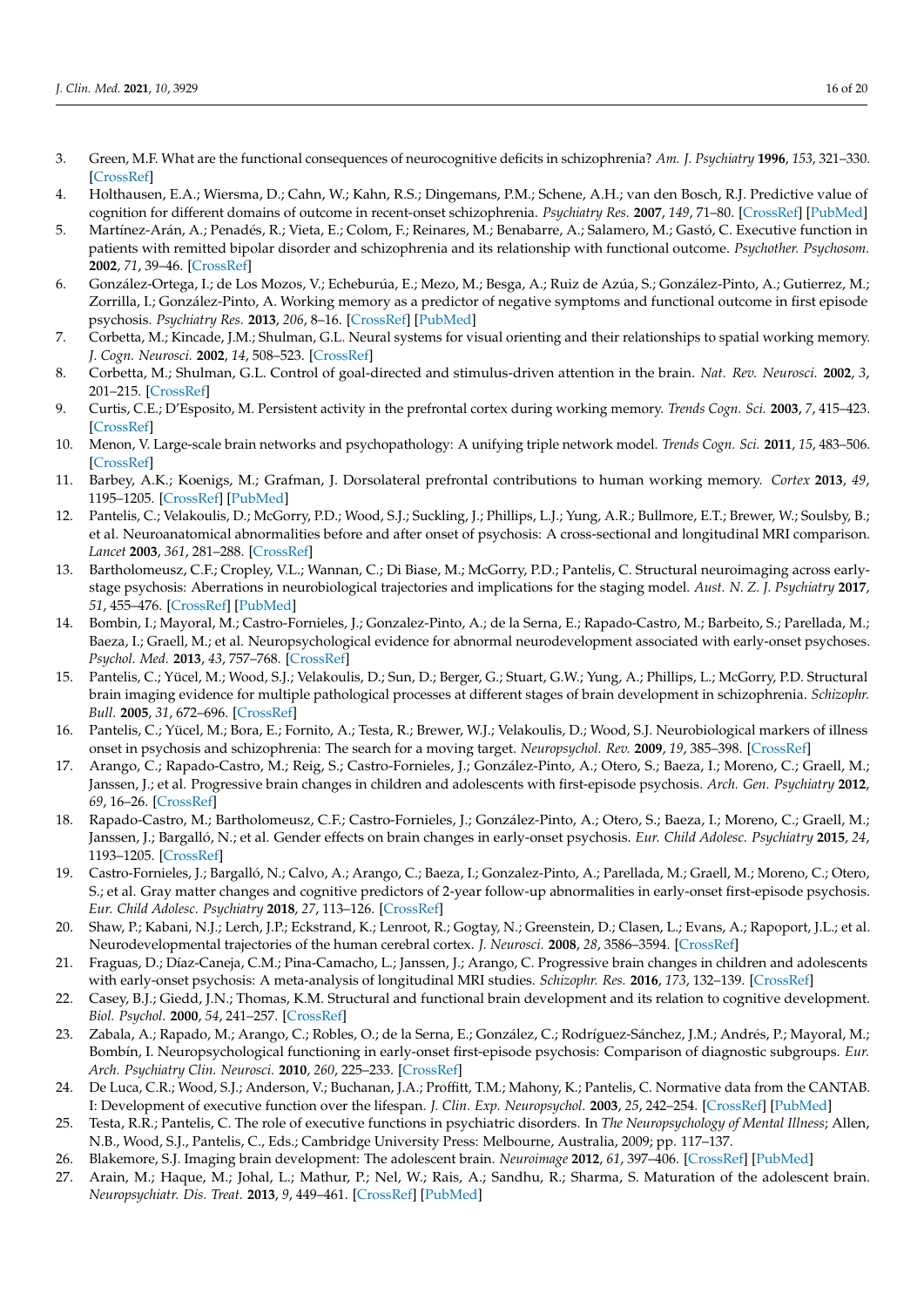- <span id="page-15-0"></span>3. Green, M.F. What are the functional consequences of neurocognitive deficits in schizophrenia? *Am. J. Psychiatry* **1996**, *153*, 321–330. [\[CrossRef\]](http://doi.org/10.1176/ajp.153.3.321)
- 4. Holthausen, E.A.; Wiersma, D.; Cahn, W.; Kahn, R.S.; Dingemans, P.M.; Schene, A.H.; van den Bosch, R.J. Predictive value of cognition for different domains of outcome in recent-onset schizophrenia. *Psychiatry Res.* **2007**, *149*, 71–80. [\[CrossRef\]](http://doi.org/10.1016/j.psychres.2005.07.037) [\[PubMed\]](http://www.ncbi.nlm.nih.gov/pubmed/17141329)
- 5. Martínez-Arán, A.; Penadés, R.; Vieta, E.; Colom, F.; Reinares, M.; Benabarre, A.; Salamero, M.; Gastó, C. Executive function in patients with remitted bipolar disorder and schizophrenia and its relationship with functional outcome. *Psychother. Psychosom.* **2002**, *71*, 39–46. [\[CrossRef\]](http://doi.org/10.1159/000049342)
- <span id="page-15-1"></span>6. González-Ortega, I.; de Los Mozos, V.; Echeburúa, E.; Mezo, M.; Besga, A.; Ruiz de Azúa, S.; González-Pinto, A.; Gutierrez, M.; Zorrilla, I.; González-Pinto, A. Working memory as a predictor of negative symptoms and functional outcome in first episode psychosis. *Psychiatry Res.* **2013**, *206*, 8–16. [\[CrossRef\]](http://doi.org/10.1016/j.psychres.2012.08.025) [\[PubMed\]](http://www.ncbi.nlm.nih.gov/pubmed/22985548)
- <span id="page-15-2"></span>7. Corbetta, M.; Kincade, J.M.; Shulman, G.L. Neural systems for visual orienting and their relationships to spatial working memory. *J. Cogn. Neurosci.* **2002**, *14*, 508–523. [\[CrossRef\]](http://doi.org/10.1162/089892902317362029)
- 8. Corbetta, M.; Shulman, G.L. Control of goal-directed and stimulus-driven attention in the brain. *Nat. Rev. Neurosci.* **2002**, *3*, 201–215. [\[CrossRef\]](http://doi.org/10.1038/nrn755)
- 9. Curtis, C.E.; D'Esposito, M. Persistent activity in the prefrontal cortex during working memory. *Trends Cogn. Sci.* **2003**, *7*, 415–423. [\[CrossRef\]](http://doi.org/10.1016/S1364-6613(03)00197-9)
- <span id="page-15-19"></span>10. Menon, V. Large-scale brain networks and psychopathology: A unifying triple network model. *Trends Cogn. Sci.* **2011**, *15*, 483–506. [\[CrossRef\]](http://doi.org/10.1016/j.tics.2011.08.003)
- <span id="page-15-3"></span>11. Barbey, A.K.; Koenigs, M.; Grafman, J. Dorsolateral prefrontal contributions to human working memory. *Cortex* **2013**, *49*, 1195–1205. [\[CrossRef\]](http://doi.org/10.1016/j.cortex.2012.05.022) [\[PubMed\]](http://www.ncbi.nlm.nih.gov/pubmed/22789779)
- <span id="page-15-4"></span>12. Pantelis, C.; Velakoulis, D.; McGorry, P.D.; Wood, S.J.; Suckling, J.; Phillips, L.J.; Yung, A.R.; Bullmore, E.T.; Brewer, W.; Soulsby, B.; et al. Neuroanatomical abnormalities before and after onset of psychosis: A cross-sectional and longitudinal MRI comparison. *Lancet* **2003**, *361*, 281–288. [\[CrossRef\]](http://doi.org/10.1016/S0140-6736(03)12323-9)
- <span id="page-15-5"></span>13. Bartholomeusz, C.F.; Cropley, V.L.; Wannan, C.; Di Biase, M.; McGorry, P.D.; Pantelis, C. Structural neuroimaging across earlystage psychosis: Aberrations in neurobiological trajectories and implications for the staging model. *Aust. N. Z. J. Psychiatry* **2017**, *51*, 455–476. [\[CrossRef\]](http://doi.org/10.1177/0004867416670522) [\[PubMed\]](http://www.ncbi.nlm.nih.gov/pubmed/27733710)
- <span id="page-15-6"></span>14. Bombin, I.; Mayoral, M.; Castro-Fornieles, J.; Gonzalez-Pinto, A.; de la Serna, E.; Rapado-Castro, M.; Barbeito, S.; Parellada, M.; Baeza, I.; Graell, M.; et al. Neuropsychological evidence for abnormal neurodevelopment associated with early-onset psychoses. *Psychol. Med.* **2013**, *43*, 757–768. [\[CrossRef\]](http://doi.org/10.1017/S0033291712001535)
- <span id="page-15-7"></span>15. Pantelis, C.; Yücel, M.; Wood, S.J.; Velakoulis, D.; Sun, D.; Berger, G.; Stuart, G.W.; Yung, A.; Phillips, L.; McGorry, P.D. Structural brain imaging evidence for multiple pathological processes at different stages of brain development in schizophrenia. *Schizophr. Bull.* **2005**, *31*, 672–696. [\[CrossRef\]](http://doi.org/10.1093/schbul/sbi034)
- 16. Pantelis, C.; Yücel, M.; Bora, E.; Fornito, A.; Testa, R.; Brewer, W.J.; Velakoulis, D.; Wood, S.J. Neurobiological markers of illness onset in psychosis and schizophrenia: The search for a moving target. *Neuropsychol. Rev.* **2009**, *19*, 385–398. [\[CrossRef\]](http://doi.org/10.1007/s11065-009-9114-1)
- <span id="page-15-17"></span>17. Arango, C.; Rapado-Castro, M.; Reig, S.; Castro-Fornieles, J.; González-Pinto, A.; Otero, S.; Baeza, I.; Moreno, C.; Graell, M.; Janssen, J.; et al. Progressive brain changes in children and adolescents with first-episode psychosis. *Arch. Gen. Psychiatry* **2012**, *69*, 16–26. [\[CrossRef\]](http://doi.org/10.1001/archgenpsychiatry.2011.150)
- <span id="page-15-18"></span>18. Rapado-Castro, M.; Bartholomeusz, C.F.; Castro-Fornieles, J.; González-Pinto, A.; Otero, S.; Baeza, I.; Moreno, C.; Graell, M.; Janssen, J.; Bargalló, N.; et al. Gender effects on brain changes in early-onset psychosis. *Eur. Child Adolesc. Psychiatry* **2015**, *24*, 1193–1205. [\[CrossRef\]](http://doi.org/10.1007/s00787-014-0669-x)
- <span id="page-15-8"></span>19. Castro-Fornieles, J.; Bargalló, N.; Calvo, A.; Arango, C.; Baeza, I.; Gonzalez-Pinto, A.; Parellada, M.; Graell, M.; Moreno, C.; Otero, S.; et al. Gray matter changes and cognitive predictors of 2-year follow-up abnormalities in early-onset first-episode psychosis. *Eur. Child Adolesc. Psychiatry* **2018**, *27*, 113–126. [\[CrossRef\]](http://doi.org/10.1007/s00787-017-1013-z)
- <span id="page-15-9"></span>20. Shaw, P.; Kabani, N.J.; Lerch, J.P.; Eckstrand, K.; Lenroot, R.; Gogtay, N.; Greenstein, D.; Clasen, L.; Evans, A.; Rapoport, J.L.; et al. Neurodevelopmental trajectories of the human cerebral cortex. *J. Neurosci.* **2008**, *28*, 3586–3594. [\[CrossRef\]](http://doi.org/10.1523/JNEUROSCI.5309-07.2008)
- <span id="page-15-10"></span>21. Fraguas, D.; Díaz-Caneja, C.M.; Pina-Camacho, L.; Janssen, J.; Arango, C. Progressive brain changes in children and adolescents with early-onset psychosis: A meta-analysis of longitudinal MRI studies. *Schizophr. Res.* **2016**, *173*, 132–139. [\[CrossRef\]](http://doi.org/10.1016/j.schres.2014.12.022)
- <span id="page-15-11"></span>22. Casey, B.J.; Giedd, J.N.; Thomas, K.M. Structural and functional brain development and its relation to cognitive development. *Biol. Psychol.* **2000**, *54*, 241–257. [\[CrossRef\]](http://doi.org/10.1016/S0301-0511(00)00058-2)
- <span id="page-15-12"></span>23. Zabala, A.; Rapado, M.; Arango, C.; Robles, O.; de la Serna, E.; González, C.; Rodríguez-Sánchez, J.M.; Andrés, P.; Mayoral, M.; Bombín, I. Neuropsychological functioning in early-onset first-episode psychosis: Comparison of diagnostic subgroups. *Eur. Arch. Psychiatry Clin. Neurosci.* **2010**, *260*, 225–233. [\[CrossRef\]](http://doi.org/10.1007/s00406-009-0046-9)
- <span id="page-15-13"></span>24. De Luca, C.R.; Wood, S.J.; Anderson, V.; Buchanan, J.A.; Proffitt, T.M.; Mahony, K.; Pantelis, C. Normative data from the CANTAB. I: Development of executive function over the lifespan. *J. Clin. Exp. Neuropsychol.* **2003**, *25*, 242–254. [\[CrossRef\]](http://doi.org/10.1076/jcen.25.2.242.13639) [\[PubMed\]](http://www.ncbi.nlm.nih.gov/pubmed/12754681)
- <span id="page-15-14"></span>25. Testa, R.R.; Pantelis, C. The role of executive functions in psychiatric disorders. In *The Neuropsychology of Mental Illness*; Allen, N.B., Wood, S.J., Pantelis, C., Eds.; Cambridge University Press: Melbourne, Australia, 2009; pp. 117–137.
- <span id="page-15-15"></span>26. Blakemore, S.J. Imaging brain development: The adolescent brain. *Neuroimage* **2012**, *61*, 397–406. [\[CrossRef\]](http://doi.org/10.1016/j.neuroimage.2011.11.080) [\[PubMed\]](http://www.ncbi.nlm.nih.gov/pubmed/22178817)
- <span id="page-15-16"></span>27. Arain, M.; Haque, M.; Johal, L.; Mathur, P.; Nel, W.; Rais, A.; Sandhu, R.; Sharma, S. Maturation of the adolescent brain. *Neuropsychiatr. Dis. Treat.* **2013**, *9*, 449–461. [\[CrossRef\]](http://doi.org/10.2147/ndt.S39776) [\[PubMed\]](http://www.ncbi.nlm.nih.gov/pubmed/23579318)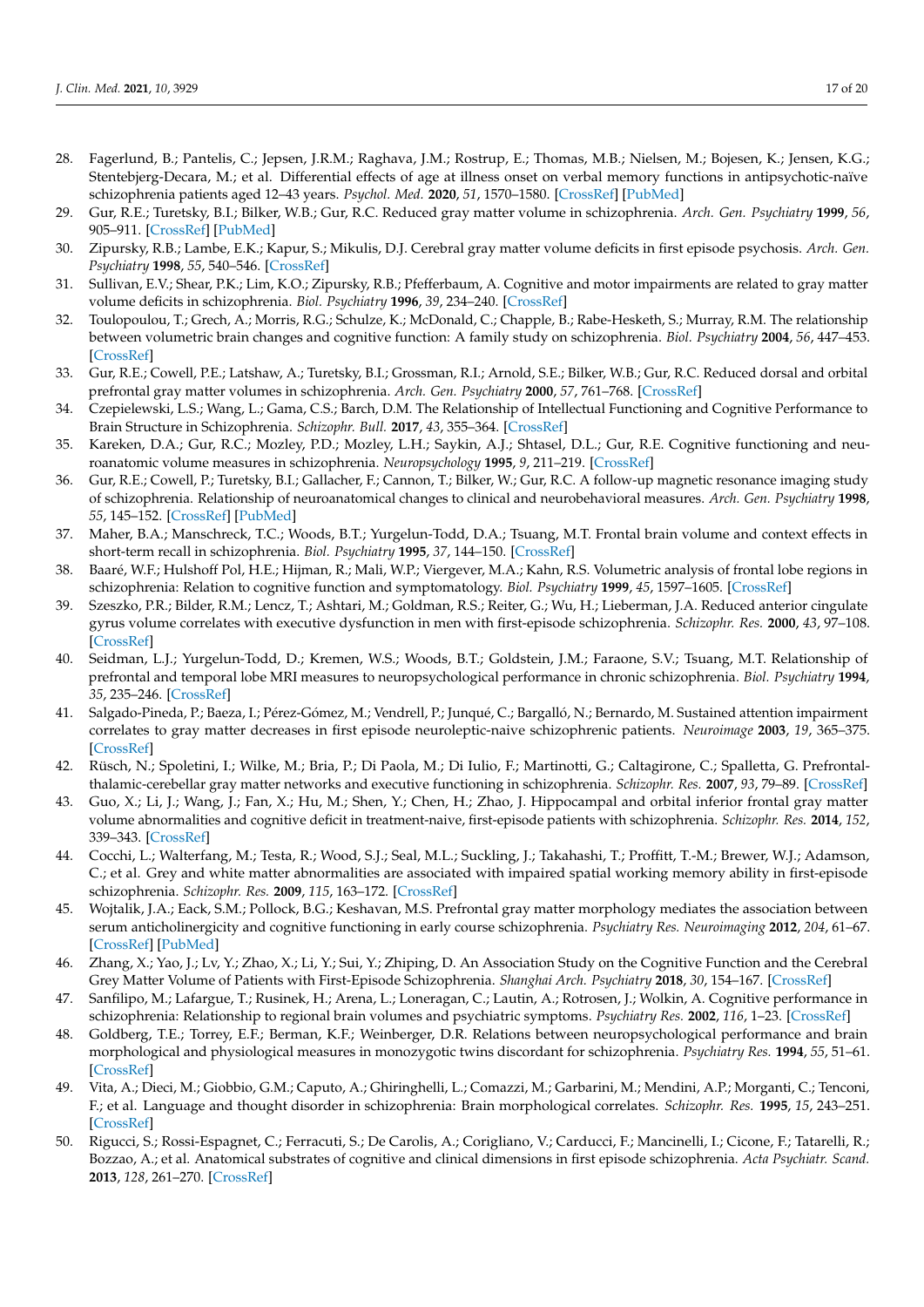- <span id="page-16-0"></span>28. Fagerlund, B.; Pantelis, C.; Jepsen, J.R.M.; Raghava, J.M.; Rostrup, E.; Thomas, M.B.; Nielsen, M.; Bojesen, K.; Jensen, K.G.; Stentebjerg-Decara, M.; et al. Differential effects of age at illness onset on verbal memory functions in antipsychotic-naïve schizophrenia patients aged 12–43 years. *Psychol. Med.* **2020**, *51*, 1570–1580. [\[CrossRef\]](http://doi.org/10.1017/S0033291720000409) [\[PubMed\]](http://www.ncbi.nlm.nih.gov/pubmed/32156323)
- <span id="page-16-1"></span>29. Gur, R.E.; Turetsky, B.I.; Bilker, W.B.; Gur, R.C. Reduced gray matter volume in schizophrenia. *Arch. Gen. Psychiatry* **1999**, *56*, 905–911. [\[CrossRef\]](http://doi.org/10.1001/archpsyc.56.10.905) [\[PubMed\]](http://www.ncbi.nlm.nih.gov/pubmed/10530632)
- 30. Zipursky, R.B.; Lambe, E.K.; Kapur, S.; Mikulis, D.J. Cerebral gray matter volume deficits in first episode psychosis. *Arch. Gen. Psychiatry* **1998**, *55*, 540–546. [\[CrossRef\]](http://doi.org/10.1001/archpsyc.55.6.540)
- 31. Sullivan, E.V.; Shear, P.K.; Lim, K.O.; Zipursky, R.B.; Pfefferbaum, A. Cognitive and motor impairments are related to gray matter volume deficits in schizophrenia. *Biol. Psychiatry* **1996**, *39*, 234–240. [\[CrossRef\]](http://doi.org/10.1016/0006-3223(95)00135-2)
- <span id="page-16-16"></span>32. Toulopoulou, T.; Grech, A.; Morris, R.G.; Schulze, K.; McDonald, C.; Chapple, B.; Rabe-Hesketh, S.; Murray, R.M. The relationship between volumetric brain changes and cognitive function: A family study on schizophrenia. *Biol. Psychiatry* **2004**, *56*, 447–453. [\[CrossRef\]](http://doi.org/10.1016/j.biopsych.2004.06.026)
- 33. Gur, R.E.; Cowell, P.E.; Latshaw, A.; Turetsky, B.I.; Grossman, R.I.; Arnold, S.E.; Bilker, W.B.; Gur, R.C. Reduced dorsal and orbital prefrontal gray matter volumes in schizophrenia. *Arch. Gen. Psychiatry* **2000**, *57*, 761–768. [\[CrossRef\]](http://doi.org/10.1001/archpsyc.57.8.761)
- <span id="page-16-2"></span>34. Czepielewski, L.S.; Wang, L.; Gama, C.S.; Barch, D.M. The Relationship of Intellectual Functioning and Cognitive Performance to Brain Structure in Schizophrenia. *Schizophr. Bull.* **2017**, *43*, 355–364. [\[CrossRef\]](http://doi.org/10.1093/schbul/sbw090)
- <span id="page-16-3"></span>35. Kareken, D.A.; Gur, R.C.; Mozley, P.D.; Mozley, L.H.; Saykin, A.J.; Shtasel, D.L.; Gur, R.E. Cognitive functioning and neuroanatomic volume measures in schizophrenia. *Neuropsychology* **1995**, *9*, 211–219. [\[CrossRef\]](http://doi.org/10.1037/0894-4105.9.2.211)
- <span id="page-16-4"></span>36. Gur, R.E.; Cowell, P.; Turetsky, B.I.; Gallacher, F.; Cannon, T.; Bilker, W.; Gur, R.C. A follow-up magnetic resonance imaging study of schizophrenia. Relationship of neuroanatomical changes to clinical and neurobehavioral measures. *Arch. Gen. Psychiatry* **1998**, *55*, 145–152. [\[CrossRef\]](http://doi.org/10.1001/archpsyc.55.2.145) [\[PubMed\]](http://www.ncbi.nlm.nih.gov/pubmed/9477928)
- 37. Maher, B.A.; Manschreck, T.C.; Woods, B.T.; Yurgelun-Todd, D.A.; Tsuang, M.T. Frontal brain volume and context effects in short-term recall in schizophrenia. *Biol. Psychiatry* **1995**, *37*, 144–150. [\[CrossRef\]](http://doi.org/10.1016/0006-3223(94)00203-F)
- <span id="page-16-17"></span>38. Baaré, W.F.; Hulshoff Pol, H.E.; Hijman, R.; Mali, W.P.; Viergever, M.A.; Kahn, R.S. Volumetric analysis of frontal lobe regions in schizophrenia: Relation to cognitive function and symptomatology. *Biol. Psychiatry* **1999**, *45*, 1597–1605. [\[CrossRef\]](http://doi.org/10.1016/S0006-3223(98)00266-2)
- 39. Szeszko, P.R.; Bilder, R.M.; Lencz, T.; Ashtari, M.; Goldman, R.S.; Reiter, G.; Wu, H.; Lieberman, J.A. Reduced anterior cingulate gyrus volume correlates with executive dysfunction in men with first-episode schizophrenia. *Schizophr. Res.* **2000**, *43*, 97–108. [\[CrossRef\]](http://doi.org/10.1016/S0920-9964(99)00155-3)
- <span id="page-16-7"></span>40. Seidman, L.J.; Yurgelun-Todd, D.; Kremen, W.S.; Woods, B.T.; Goldstein, J.M.; Faraone, S.V.; Tsuang, M.T. Relationship of prefrontal and temporal lobe MRI measures to neuropsychological performance in chronic schizophrenia. *Biol. Psychiatry* **1994**, *35*, 235–246. [\[CrossRef\]](http://doi.org/10.1016/0006-3223(94)91254-8)
- <span id="page-16-6"></span>41. Salgado-Pineda, P.; Baeza, I.; Pérez-Gómez, M.; Vendrell, P.; Junqué, C.; Bargalló, N.; Bernardo, M. Sustained attention impairment correlates to gray matter decreases in first episode neuroleptic-naive schizophrenic patients. *Neuroimage* **2003**, *19*, 365–375. [\[CrossRef\]](http://doi.org/10.1016/S1053-8119(03)00094-6)
- <span id="page-16-10"></span>42. Rüsch, N.; Spoletini, I.; Wilke, M.; Bria, P.; Di Paola, M.; Di Iulio, F.; Martinotti, G.; Caltagirone, C.; Spalletta, G. Prefrontalthalamic-cerebellar gray matter networks and executive functioning in schizophrenia. *Schizophr. Res.* **2007**, *93*, 79–89. [\[CrossRef\]](http://doi.org/10.1016/j.schres.2007.01.029)
- <span id="page-16-12"></span>43. Guo, X.; Li, J.; Wang, J.; Fan, X.; Hu, M.; Shen, Y.; Chen, H.; Zhao, J. Hippocampal and orbital inferior frontal gray matter volume abnormalities and cognitive deficit in treatment-naive, first-episode patients with schizophrenia. *Schizophr. Res.* **2014**, *152*, 339–343. [\[CrossRef\]](http://doi.org/10.1016/j.schres.2013.12.015)
- <span id="page-16-14"></span>44. Cocchi, L.; Walterfang, M.; Testa, R.; Wood, S.J.; Seal, M.L.; Suckling, J.; Takahashi, T.; Proffitt, T.-M.; Brewer, W.J.; Adamson, C.; et al. Grey and white matter abnormalities are associated with impaired spatial working memory ability in first-episode schizophrenia. *Schizophr. Res.* **2009**, *115*, 163–172. [\[CrossRef\]](http://doi.org/10.1016/j.schres.2009.09.009)
- <span id="page-16-15"></span>45. Wojtalik, J.A.; Eack, S.M.; Pollock, B.G.; Keshavan, M.S. Prefrontal gray matter morphology mediates the association between serum anticholinergicity and cognitive functioning in early course schizophrenia. *Psychiatry Res. Neuroimaging* **2012**, *204*, 61–67. [\[CrossRef\]](http://doi.org/10.1016/j.pscychresns.2012.04.014) [\[PubMed\]](http://www.ncbi.nlm.nih.gov/pubmed/23158779)
- <span id="page-16-8"></span>46. Zhang, X.; Yao, J.; Lv, Y.; Zhao, X.; Li, Y.; Sui, Y.; Zhiping, D. An Association Study on the Cognitive Function and the Cerebral Grey Matter Volume of Patients with First-Episode Schizophrenia. *Shanghai Arch. Psychiatry* **2018**, *30*, 154–167. [\[CrossRef\]](http://doi.org/10.11919/j.issn.1002-0829.217138)
- <span id="page-16-13"></span>47. Sanfilipo, M.; Lafargue, T.; Rusinek, H.; Arena, L.; Loneragan, C.; Lautin, A.; Rotrosen, J.; Wolkin, A. Cognitive performance in schizophrenia: Relationship to regional brain volumes and psychiatric symptoms. *Psychiatry Res.* **2002**, *116*, 1–23. [\[CrossRef\]](http://doi.org/10.1016/S0925-4927(02)00046-X)
- <span id="page-16-5"></span>48. Goldberg, T.E.; Torrey, E.F.; Berman, K.F.; Weinberger, D.R. Relations between neuropsychological performance and brain morphological and physiological measures in monozygotic twins discordant for schizophrenia. *Psychiatry Res.* **1994**, *55*, 51–61. [\[CrossRef\]](http://doi.org/10.1016/0925-4927(94)90011-6)
- <span id="page-16-9"></span>49. Vita, A.; Dieci, M.; Giobbio, G.M.; Caputo, A.; Ghiringhelli, L.; Comazzi, M.; Garbarini, M.; Mendini, A.P.; Morganti, C.; Tenconi, F.; et al. Language and thought disorder in schizophrenia: Brain morphological correlates. *Schizophr. Res.* **1995**, *15*, 243–251. [\[CrossRef\]](http://doi.org/10.1016/0920-9964(94)00050-I)
- <span id="page-16-11"></span>50. Rigucci, S.; Rossi-Espagnet, C.; Ferracuti, S.; De Carolis, A.; Corigliano, V.; Carducci, F.; Mancinelli, I.; Cicone, F.; Tatarelli, R.; Bozzao, A.; et al. Anatomical substrates of cognitive and clinical dimensions in first episode schizophrenia. *Acta Psychiatr. Scand.* **2013**, *128*, 261–270. [\[CrossRef\]](http://doi.org/10.1111/acps.12051)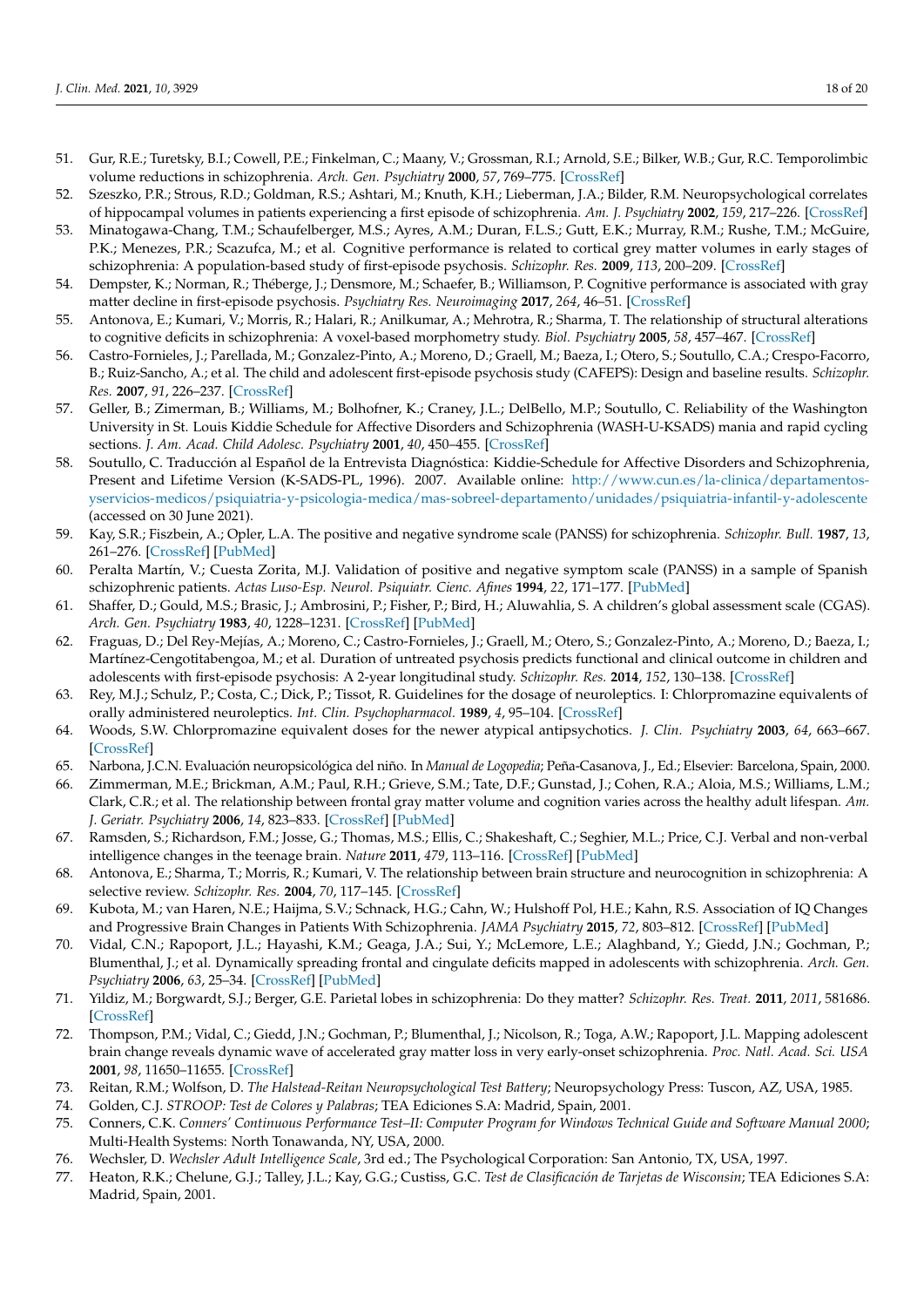- <span id="page-17-0"></span>51. Gur, R.E.; Turetsky, B.I.; Cowell, P.E.; Finkelman, C.; Maany, V.; Grossman, R.I.; Arnold, S.E.; Bilker, W.B.; Gur, R.C. Temporolimbic volume reductions in schizophrenia. *Arch. Gen. Psychiatry* **2000**, *57*, 769–775. [\[CrossRef\]](http://doi.org/10.1001/archpsyc.57.8.769)
- <span id="page-17-1"></span>52. Szeszko, P.R.; Strous, R.D.; Goldman, R.S.; Ashtari, M.; Knuth, K.H.; Lieberman, J.A.; Bilder, R.M. Neuropsychological correlates of hippocampal volumes in patients experiencing a first episode of schizophrenia. *Am. J. Psychiatry* **2002**, *159*, 217–226. [\[CrossRef\]](http://doi.org/10.1176/appi.ajp.159.2.217)
- <span id="page-17-2"></span>53. Minatogawa-Chang, T.M.; Schaufelberger, M.S.; Ayres, A.M.; Duran, F.L.S.; Gutt, E.K.; Murray, R.M.; Rushe, T.M.; McGuire, P.K.; Menezes, P.R.; Scazufca, M.; et al. Cognitive performance is related to cortical grey matter volumes in early stages of schizophrenia: A population-based study of first-episode psychosis. *Schizophr. Res.* **2009**, *113*, 200–209. [\[CrossRef\]](http://doi.org/10.1016/j.schres.2009.06.020)
- <span id="page-17-3"></span>54. Dempster, K.; Norman, R.; Théberge, J.; Densmore, M.; Schaefer, B.; Williamson, P. Cognitive performance is associated with gray matter decline in first-episode psychosis. *Psychiatry Res. Neuroimaging* **2017**, *264*, 46–51. [\[CrossRef\]](http://doi.org/10.1016/j.pscychresns.2017.04.007)
- <span id="page-17-4"></span>55. Antonova, E.; Kumari, V.; Morris, R.; Halari, R.; Anilkumar, A.; Mehrotra, R.; Sharma, T. The relationship of structural alterations to cognitive deficits in schizophrenia: A voxel-based morphometry study. *Biol. Psychiatry* **2005**, *58*, 457–467. [\[CrossRef\]](http://doi.org/10.1016/j.biopsych.2005.04.036)
- <span id="page-17-5"></span>56. Castro-Fornieles, J.; Parellada, M.; Gonzalez-Pinto, A.; Moreno, D.; Graell, M.; Baeza, I.; Otero, S.; Soutullo, C.A.; Crespo-Facorro, B.; Ruiz-Sancho, A.; et al. The child and adolescent first-episode psychosis study (CAFEPS): Design and baseline results. *Schizophr. Res.* **2007**, *91*, 226–237. [\[CrossRef\]](http://doi.org/10.1016/j.schres.2006.12.004)
- <span id="page-17-6"></span>57. Geller, B.; Zimerman, B.; Williams, M.; Bolhofner, K.; Craney, J.L.; DelBello, M.P.; Soutullo, C. Reliability of the Washington University in St. Louis Kiddie Schedule for Affective Disorders and Schizophrenia (WASH-U-KSADS) mania and rapid cycling sections. *J. Am. Acad. Child Adolesc. Psychiatry* **2001**, *40*, 450–455. [\[CrossRef\]](http://doi.org/10.1097/00004583-200104000-00014)
- <span id="page-17-7"></span>58. Soutullo, C. Traducción al Español de la Entrevista Diagnóstica: Kiddie-Schedule for Affective Disorders and Schizophrenia, Present and Lifetime Version (K-SADS-PL, 1996). 2007. Available online: [http://www.cun.es/la-clinica/departamentos](http://www.cun.es/la-clinica/departamentos-yservicios-medicos/psiquiatria-y-psicologia-medica/mas-sobreel-departamento/unidades/psiquiatria-infantil-y-adolescente)[yservicios-medicos/psiquiatria-y-psicologia-medica/mas-sobreel-departamento/unidades/psiquiatria-infantil-y-adolescente](http://www.cun.es/la-clinica/departamentos-yservicios-medicos/psiquiatria-y-psicologia-medica/mas-sobreel-departamento/unidades/psiquiatria-infantil-y-adolescente) (accessed on 30 June 2021).
- <span id="page-17-8"></span>59. Kay, S.R.; Fiszbein, A.; Opler, L.A. The positive and negative syndrome scale (PANSS) for schizophrenia. *Schizophr. Bull.* **1987**, *13*, 261–276. [\[CrossRef\]](http://doi.org/10.1093/schbul/13.2.261) [\[PubMed\]](http://www.ncbi.nlm.nih.gov/pubmed/3616518)
- <span id="page-17-9"></span>60. Peralta Martín, V.; Cuesta Zorita, M.J. Validation of positive and negative symptom scale (PANSS) in a sample of Spanish schizophrenic patients. *Actas Luso-Esp. Neurol. Psiquiatr. Cienc. Afines* **1994**, *22*, 171–177. [\[PubMed\]](http://www.ncbi.nlm.nih.gov/pubmed/7810373)
- <span id="page-17-10"></span>61. Shaffer, D.; Gould, M.S.; Brasic, J.; Ambrosini, P.; Fisher, P.; Bird, H.; Aluwahlia, S. A children's global assessment scale (CGAS). *Arch. Gen. Psychiatry* **1983**, *40*, 1228–1231. [\[CrossRef\]](http://doi.org/10.1001/archpsyc.1983.01790100074010) [\[PubMed\]](http://www.ncbi.nlm.nih.gov/pubmed/6639293)
- <span id="page-17-11"></span>62. Fraguas, D.; Del Rey-Mejías, A.; Moreno, C.; Castro-Fornieles, J.; Graell, M.; Otero, S.; Gonzalez-Pinto, A.; Moreno, D.; Baeza, I.; Martínez-Cengotitabengoa, M.; et al. Duration of untreated psychosis predicts functional and clinical outcome in children and adolescents with first-episode psychosis: A 2-year longitudinal study. *Schizophr. Res.* **2014**, *152*, 130–138. [\[CrossRef\]](http://doi.org/10.1016/j.schres.2013.11.018)
- <span id="page-17-12"></span>63. Rey, M.J.; Schulz, P.; Costa, C.; Dick, P.; Tissot, R. Guidelines for the dosage of neuroleptics. I: Chlorpromazine equivalents of orally administered neuroleptics. *Int. Clin. Psychopharmacol.* **1989**, *4*, 95–104. [\[CrossRef\]](http://doi.org/10.1097/00004850-198904000-00001)
- <span id="page-17-13"></span>64. Woods, S.W. Chlorpromazine equivalent doses for the newer atypical antipsychotics. *J. Clin. Psychiatry* **2003**, *64*, 663–667. [\[CrossRef\]](http://doi.org/10.4088/JCP.v64n0607)
- <span id="page-17-14"></span>65. Narbona, J.C.N. Evaluación neuropsicológica del niño. In *Manual de Logopedia*; Peña-Casanova, J., Ed.; Elsevier: Barcelona, Spain, 2000.
- 66. Zimmerman, M.E.; Brickman, A.M.; Paul, R.H.; Grieve, S.M.; Tate, D.F.; Gunstad, J.; Cohen, R.A.; Aloia, M.S.; Williams, L.M.; Clark, C.R.; et al. The relationship between frontal gray matter volume and cognition varies across the healthy adult lifespan. *Am. J. Geriatr. Psychiatry* **2006**, *14*, 823–833. [\[CrossRef\]](http://doi.org/10.1097/01.JGP.0000238502.40963.ac) [\[PubMed\]](http://www.ncbi.nlm.nih.gov/pubmed/17001022)
- 67. Ramsden, S.; Richardson, F.M.; Josse, G.; Thomas, M.S.; Ellis, C.; Shakeshaft, C.; Seghier, M.L.; Price, C.J. Verbal and non-verbal intelligence changes in the teenage brain. *Nature* **2011**, *479*, 113–116. [\[CrossRef\]](http://doi.org/10.1038/nature10514) [\[PubMed\]](http://www.ncbi.nlm.nih.gov/pubmed/22012265)
- <span id="page-17-23"></span>68. Antonova, E.; Sharma, T.; Morris, R.; Kumari, V. The relationship between brain structure and neurocognition in schizophrenia: A selective review. *Schizophr. Res.* **2004**, *70*, 117–145. [\[CrossRef\]](http://doi.org/10.1016/j.schres.2003.12.002)
- 69. Kubota, M.; van Haren, N.E.; Haijma, S.V.; Schnack, H.G.; Cahn, W.; Hulshoff Pol, H.E.; Kahn, R.S. Association of IQ Changes and Progressive Brain Changes in Patients With Schizophrenia. *JAMA Psychiatry* **2015**, *72*, 803–812. [\[CrossRef\]](http://doi.org/10.1001/jamapsychiatry.2015.0712) [\[PubMed\]](http://www.ncbi.nlm.nih.gov/pubmed/26083394)
- <span id="page-17-15"></span>70. Vidal, C.N.; Rapoport, J.L.; Hayashi, K.M.; Geaga, J.A.; Sui, Y.; McLemore, L.E.; Alaghband, Y.; Giedd, J.N.; Gochman, P.; Blumenthal, J.; et al. Dynamically spreading frontal and cingulate deficits mapped in adolescents with schizophrenia. *Arch. Gen. Psychiatry* **2006**, *63*, 25–34. [\[CrossRef\]](http://doi.org/10.1001/archpsyc.63.1.25) [\[PubMed\]](http://www.ncbi.nlm.nih.gov/pubmed/16389194)
- <span id="page-17-16"></span>71. Yildiz, M.; Borgwardt, S.J.; Berger, G.E. Parietal lobes in schizophrenia: Do they matter? *Schizophr. Res. Treat.* **2011**, *2011*, 581686. [\[CrossRef\]](http://doi.org/10.1155/2011/581686)
- <span id="page-17-17"></span>72. Thompson, P.M.; Vidal, C.; Giedd, J.N.; Gochman, P.; Blumenthal, J.; Nicolson, R.; Toga, A.W.; Rapoport, J.L. Mapping adolescent brain change reveals dynamic wave of accelerated gray matter loss in very early-onset schizophrenia. *Proc. Natl. Acad. Sci. USA* **2001**, *98*, 11650–11655. [\[CrossRef\]](http://doi.org/10.1073/pnas.201243998)
- <span id="page-17-18"></span>73. Reitan, R.M.; Wolfson, D. *The Halstead-Reitan Neuropsychological Test Battery*; Neuropsychology Press: Tuscon, AZ, USA, 1985.
- <span id="page-17-19"></span>74. Golden, C.J. *STROOP: Test de Colores y Palabras*; TEA Ediciones S.A: Madrid, Spain, 2001.
- <span id="page-17-20"></span>75. Conners, C.K. *Conners' Continuous Performance Test–II: Computer Program for Windows Technical Guide and Software Manual 2000*; Multi-Health Systems: North Tonawanda, NY, USA, 2000.
- <span id="page-17-21"></span>76. Wechsler, D. *Wechsler Adult Intelligence Scale*, 3rd ed.; The Psychological Corporation: San Antonio, TX, USA, 1997.
- <span id="page-17-22"></span>77. Heaton, R.K.; Chelune, G.J.; Talley, J.L.; Kay, G.G.; Custiss, G.C. *Test de Clasificación de Tarjetas de Wisconsin*; TEA Ediciones S.A: Madrid, Spain, 2001.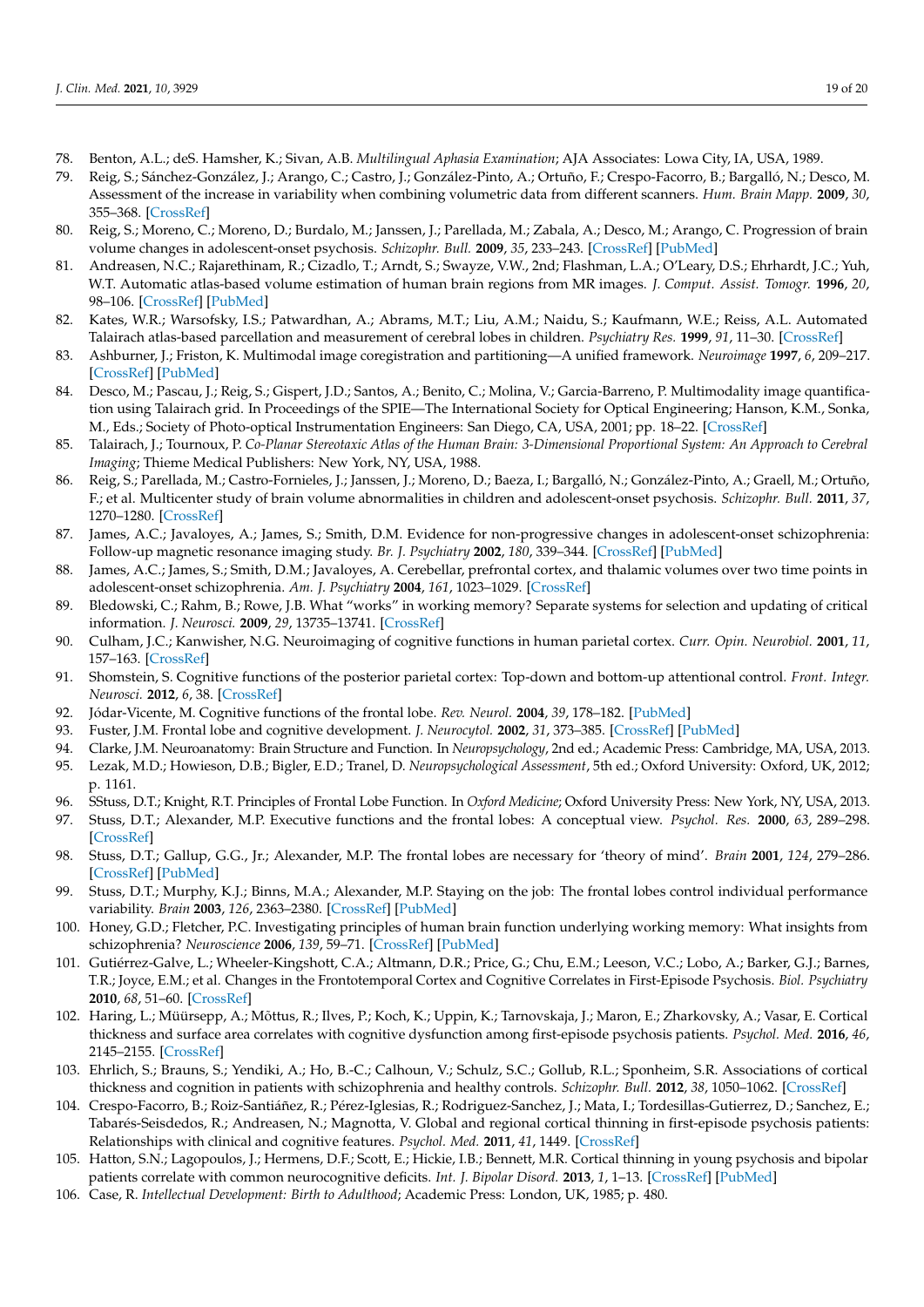- <span id="page-18-0"></span>78. Benton, A.L.; deS. Hamsher, K.; Sivan, A.B. *Multilingual Aphasia Examination*; AJA Associates: Lowa City, IA, USA, 1989.
- <span id="page-18-1"></span>79. Reig, S.; Sánchez-González, J.; Arango, C.; Castro, J.; González-Pinto, A.; Ortuño, F.; Crespo-Facorro, B.; Bargalló, N.; Desco, M. Assessment of the increase in variability when combining volumetric data from different scanners. *Hum. Brain Mapp.* **2009**, *30*, 355–368. [\[CrossRef\]](http://doi.org/10.1002/hbm.20511)
- <span id="page-18-2"></span>80. Reig, S.; Moreno, C.; Moreno, D.; Burdalo, M.; Janssen, J.; Parellada, M.; Zabala, A.; Desco, M.; Arango, C. Progression of brain volume changes in adolescent-onset psychosis. *Schizophr. Bull.* **2009**, *35*, 233–243. [\[CrossRef\]](http://doi.org/10.1093/schbul/sbm160) [\[PubMed\]](http://www.ncbi.nlm.nih.gov/pubmed/18222929)
- <span id="page-18-3"></span>81. Andreasen, N.C.; Rajarethinam, R.; Cizadlo, T.; Arndt, S.; Swayze, V.W., 2nd; Flashman, L.A.; O'Leary, D.S.; Ehrhardt, J.C.; Yuh, W.T. Automatic atlas-based volume estimation of human brain regions from MR images. *J. Comput. Assist. Tomogr.* **1996**, *20*, 98–106. [\[CrossRef\]](http://doi.org/10.1097/00004728-199601000-00018) [\[PubMed\]](http://www.ncbi.nlm.nih.gov/pubmed/8576490)
- <span id="page-18-5"></span>82. Kates, W.R.; Warsofsky, I.S.; Patwardhan, A.; Abrams, M.T.; Liu, A.M.; Naidu, S.; Kaufmann, W.E.; Reiss, A.L. Automated Talairach atlas-based parcellation and measurement of cerebral lobes in children. *Psychiatry Res.* **1999**, *91*, 11–30. [\[CrossRef\]](http://doi.org/10.1016/S0925-4927(99)00011-6)
- <span id="page-18-6"></span>83. Ashburner, J.; Friston, K. Multimodal image coregistration and partitioning—A unified framework. *Neuroimage* **1997**, *6*, 209–217. [\[CrossRef\]](http://doi.org/10.1006/nimg.1997.0290) [\[PubMed\]](http://www.ncbi.nlm.nih.gov/pubmed/9344825)
- <span id="page-18-4"></span>84. Desco, M.; Pascau, J.; Reig, S.; Gispert, J.D.; Santos, A.; Benito, C.; Molina, V.; Garcia-Barreno, P. Multimodality image quantification using Talairach grid. In Proceedings of the SPIE—The International Society for Optical Engineering; Hanson, K.M., Sonka, M., Eds.; Society of Photo-optical Instrumentation Engineers: San Diego, CA, USA, 2001; pp. 18–22. [\[CrossRef\]](http://doi.org/10.1117/12.431018)
- <span id="page-18-7"></span>85. Talairach, J.; Tournoux, P. *Co-Planar Stereotaxic Atlas of the Human Brain: 3-Dimensional Proportional System: An Approach to Cerebral Imaging*; Thieme Medical Publishers: New York, NY, USA, 1988.
- <span id="page-18-8"></span>86. Reig, S.; Parellada, M.; Castro-Fornieles, J.; Janssen, J.; Moreno, D.; Baeza, I.; Bargalló, N.; González-Pinto, A.; Graell, M.; Ortuño, F.; et al. Multicenter study of brain volume abnormalities in children and adolescent-onset psychosis. *Schizophr. Bull.* **2011**, *37*, 1270–1280. [\[CrossRef\]](http://doi.org/10.1093/schbul/sbq044)
- <span id="page-18-9"></span>87. James, A.C.; Javaloyes, A.; James, S.; Smith, D.M. Evidence for non-progressive changes in adolescent-onset schizophrenia: Follow-up magnetic resonance imaging study. *Br. J. Psychiatry* **2002**, *180*, 339–344. [\[CrossRef\]](http://doi.org/10.1192/bjp.180.4.339) [\[PubMed\]](http://www.ncbi.nlm.nih.gov/pubmed/11925357)
- <span id="page-18-10"></span>88. James, A.C.; James, S.; Smith, D.M.; Javaloyes, A. Cerebellar, prefrontal cortex, and thalamic volumes over two time points in adolescent-onset schizophrenia. *Am. J. Psychiatry* **2004**, *161*, 1023–1029. [\[CrossRef\]](http://doi.org/10.1176/appi.ajp.161.6.1023)
- <span id="page-18-11"></span>89. Bledowski, C.; Rahm, B.; Rowe, J.B. What "works" in working memory? Separate systems for selection and updating of critical information. *J. Neurosci.* **2009**, *29*, 13735–13741. [\[CrossRef\]](http://doi.org/10.1523/JNEUROSCI.2547-09.2009)
- 90. Culham, J.C.; Kanwisher, N.G. Neuroimaging of cognitive functions in human parietal cortex. *Curr. Opin. Neurobiol.* **2001**, *11*, 157–163. [\[CrossRef\]](http://doi.org/10.1016/S0959-4388(00)00191-4)
- 91. Shomstein, S. Cognitive functions of the posterior parietal cortex: Top-down and bottom-up attentional control. *Front. Integr. Neurosci.* **2012**, *6*, 38. [\[CrossRef\]](http://doi.org/10.3389/fnint.2012.00038)
- 92. Jódar-Vicente, M. Cognitive functions of the frontal lobe. *Rev. Neurol.* **2004**, *39*, 178–182. [\[PubMed\]](http://www.ncbi.nlm.nih.gov/pubmed/15264169)
- 93. Fuster, J.M. Frontal lobe and cognitive development. *J. Neurocytol.* **2002**, *31*, 373–385. [\[CrossRef\]](http://doi.org/10.1023/A:1024190429920) [\[PubMed\]](http://www.ncbi.nlm.nih.gov/pubmed/12815254)
- 94. Clarke, J.M. Neuroanatomy: Brain Structure and Function. In *Neuropsychology*, 2nd ed.; Academic Press: Cambridge, MA, USA, 2013. 95. Lezak, M.D.; Howieson, D.B.; Bigler, E.D.; Tranel, D. *Neuropsychological Assessment*, 5th ed.; Oxford University: Oxford, UK, 2012;
- p. 1161.
- 96. SStuss, D.T.; Knight, R.T. Principles of Frontal Lobe Function. In *Oxford Medicine*; Oxford University Press: New York, NY, USA, 2013.
- 97. Stuss, D.T.; Alexander, M.P. Executive functions and the frontal lobes: A conceptual view. *Psychol. Res.* **2000**, *63*, 289–298. [\[CrossRef\]](http://doi.org/10.1007/s004269900007)
- 98. Stuss, D.T.; Gallup, G.G., Jr.; Alexander, M.P. The frontal lobes are necessary for 'theory of mind'. *Brain* **2001**, *124*, 279–286. [\[CrossRef\]](http://doi.org/10.1093/brain/124.2.279) [\[PubMed\]](http://www.ncbi.nlm.nih.gov/pubmed/11157555)
- <span id="page-18-12"></span>99. Stuss, D.T.; Murphy, K.J.; Binns, M.A.; Alexander, M.P. Staying on the job: The frontal lobes control individual performance variability. *Brain* **2003**, *126*, 2363–2380. [\[CrossRef\]](http://doi.org/10.1093/brain/awg237) [\[PubMed\]](http://www.ncbi.nlm.nih.gov/pubmed/12876148)
- <span id="page-18-13"></span>100. Honey, G.D.; Fletcher, P.C. Investigating principles of human brain function underlying working memory: What insights from schizophrenia? *Neuroscience* **2006**, *139*, 59–71. [\[CrossRef\]](http://doi.org/10.1016/j.neuroscience.2005.05.036) [\[PubMed\]](http://www.ncbi.nlm.nih.gov/pubmed/16343788)
- <span id="page-18-14"></span>101. Gutiérrez-Galve, L.; Wheeler-Kingshott, C.A.; Altmann, D.R.; Price, G.; Chu, E.M.; Leeson, V.C.; Lobo, A.; Barker, G.J.; Barnes, T.R.; Joyce, E.M.; et al. Changes in the Frontotemporal Cortex and Cognitive Correlates in First-Episode Psychosis. *Biol. Psychiatry* **2010**, *68*, 51–60. [\[CrossRef\]](http://doi.org/10.1016/j.biopsych.2010.03.019)
- <span id="page-18-15"></span>102. Haring, L.; Müürsepp, A.; Mõttus, R.; Ilves, P.; Koch, K.; Uppin, K.; Tarnovskaja, J.; Maron, E.; Zharkovsky, A.; Vasar, E. Cortical thickness and surface area correlates with cognitive dysfunction among first-episode psychosis patients. *Psychol. Med.* **2016**, *46*, 2145–2155. [\[CrossRef\]](http://doi.org/10.1017/S0033291716000684)
- <span id="page-18-16"></span>103. Ehrlich, S.; Brauns, S.; Yendiki, A.; Ho, B.-C.; Calhoun, V.; Schulz, S.C.; Gollub, R.L.; Sponheim, S.R. Associations of cortical thickness and cognition in patients with schizophrenia and healthy controls. *Schizophr. Bull.* **2012**, *38*, 1050–1062. [\[CrossRef\]](http://doi.org/10.1093/schbul/sbr018)
- 104. Crespo-Facorro, B.; Roiz-Santiáñez, R.; Pérez-Iglesias, R.; Rodriguez-Sanchez, J.; Mata, I.; Tordesillas-Gutierrez, D.; Sanchez, E.; Tabarés-Seisdedos, R.; Andreasen, N.; Magnotta, V. Global and regional cortical thinning in first-episode psychosis patients: Relationships with clinical and cognitive features. *Psychol. Med.* **2011**, *41*, 1449. [\[CrossRef\]](http://doi.org/10.1017/S003329171000200X)
- <span id="page-18-17"></span>105. Hatton, S.N.; Lagopoulos, J.; Hermens, D.F.; Scott, E.; Hickie, I.B.; Bennett, M.R. Cortical thinning in young psychosis and bipolar patients correlate with common neurocognitive deficits. *Int. J. Bipolar Disord.* **2013**, *1*, 1–13. [\[CrossRef\]](http://doi.org/10.1186/2194-7511-1-3) [\[PubMed\]](http://www.ncbi.nlm.nih.gov/pubmed/25505670)
- <span id="page-18-18"></span>106. Case, R. *Intellectual Development: Birth to Adulthood*; Academic Press: London, UK, 1985; p. 480.